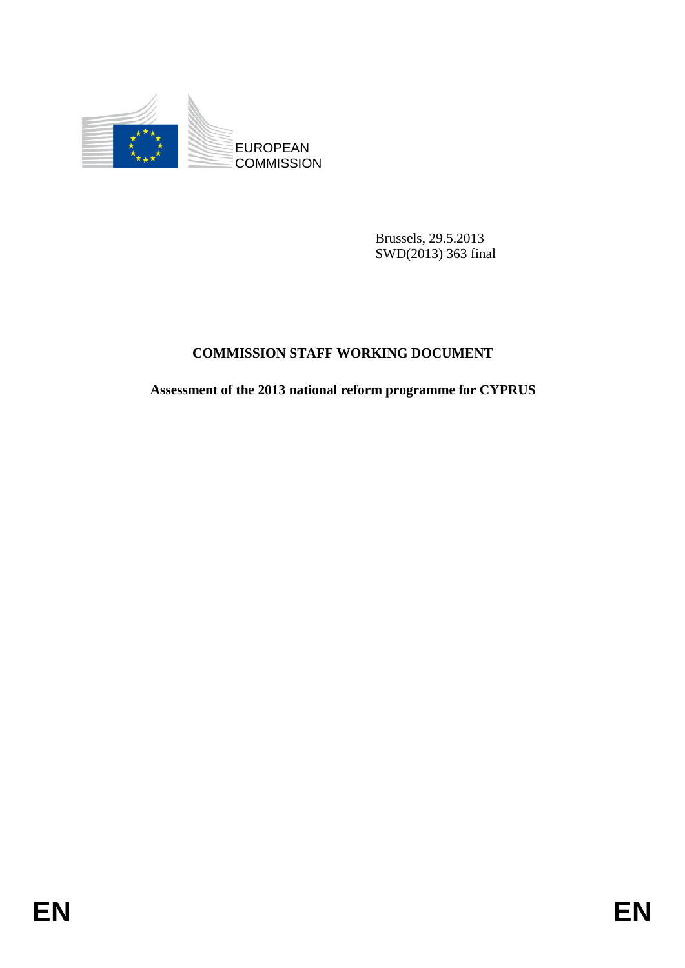

Brussels, 29.5.2013 SWD(2013) 363 final

# **COMMISSION STAFF WORKING DOCUMENT**

## **Assessment of the 2013 national reform programme for CYPRUS**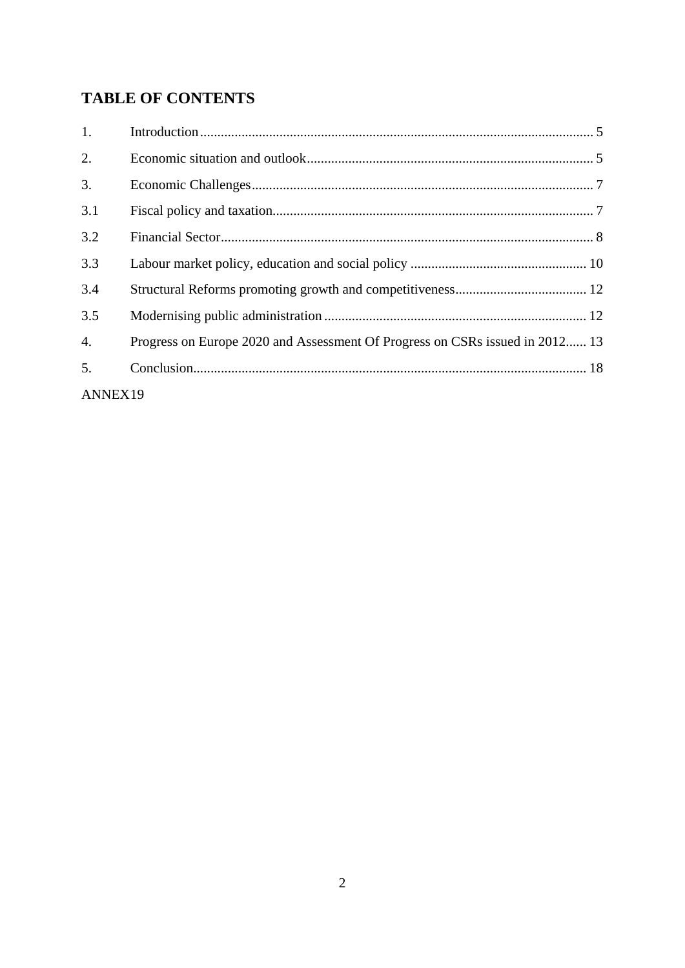# **TABLE OF CONTENTS**

| 1.               |                                                                              |
|------------------|------------------------------------------------------------------------------|
| 2.               |                                                                              |
| 3.               |                                                                              |
| 3.1              |                                                                              |
| 3.2              |                                                                              |
| 3.3              |                                                                              |
| 3.4              |                                                                              |
| 3.5              |                                                                              |
| $\overline{4}$ . | Progress on Europe 2020 and Assessment Of Progress on CSRs issued in 2012 13 |
| 5.               |                                                                              |
| ANNEX19          |                                                                              |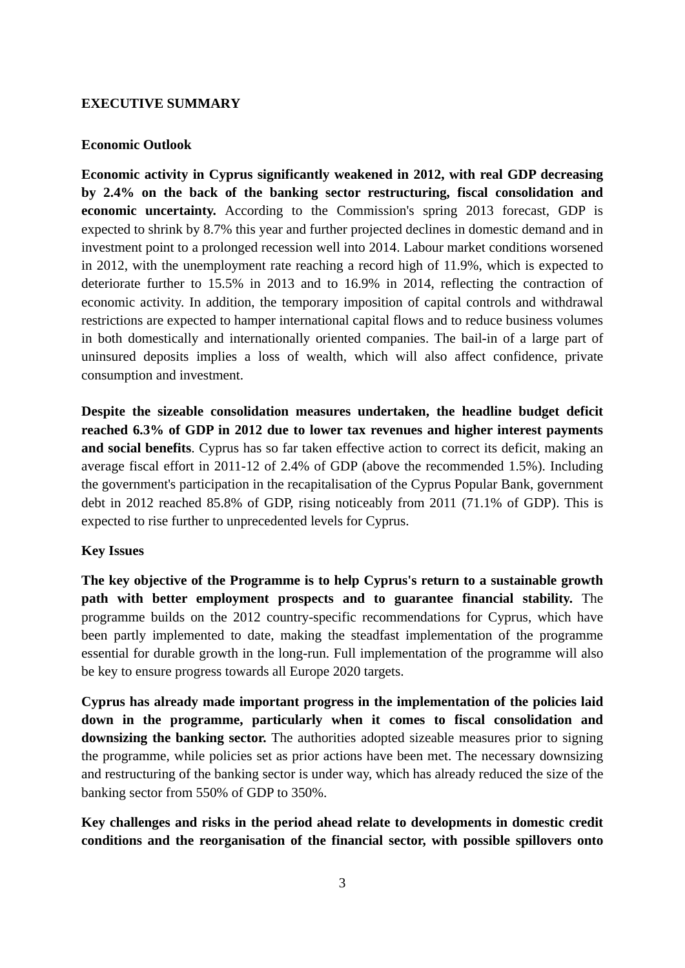#### **EXECUTIVE SUMMARY**

#### **Economic Outlook**

**Economic activity in Cyprus significantly weakened in 2012, with real GDP decreasing by 2.4% on the back of the banking sector restructuring, fiscal consolidation and economic uncertainty.** According to the Commission's spring 2013 forecast, GDP is expected to shrink by 8.7% this year and further projected declines in domestic demand and in investment point to a prolonged recession well into 2014. Labour market conditions worsened in 2012, with the unemployment rate reaching a record high of 11.9%, which is expected to deteriorate further to 15.5% in 2013 and to 16.9% in 2014, reflecting the contraction of economic activity. In addition, the temporary imposition of capital controls and withdrawal restrictions are expected to hamper international capital flows and to reduce business volumes in both domestically and internationally oriented companies. The bail-in of a large part of uninsured deposits implies a loss of wealth, which will also affect confidence, private consumption and investment.

**Despite the sizeable consolidation measures undertaken, the headline budget deficit reached 6.3% of GDP in 2012 due to lower tax revenues and higher interest payments and social benefits**. Cyprus has so far taken effective action to correct its deficit, making an average fiscal effort in 2011-12 of 2.4% of GDP (above the recommended 1.5%). Including the government's participation in the recapitalisation of the Cyprus Popular Bank, government debt in 2012 reached 85.8% of GDP, rising noticeably from 2011 (71.1% of GDP). This is expected to rise further to unprecedented levels for Cyprus.

### **Key Issues**

**The key objective of the Programme is to help Cyprus's return to a sustainable growth path with better employment prospects and to guarantee financial stability.** The programme builds on the 2012 country-specific recommendations for Cyprus, which have been partly implemented to date, making the steadfast implementation of the programme essential for durable growth in the long-run. Full implementation of the programme will also be key to ensure progress towards all Europe 2020 targets.

**Cyprus has already made important progress in the implementation of the policies laid down in the programme, particularly when it comes to fiscal consolidation and downsizing the banking sector.** The authorities adopted sizeable measures prior to signing the programme, while policies set as prior actions have been met. The necessary downsizing and restructuring of the banking sector is under way, which has already reduced the size of the banking sector from 550% of GDP to 350%.

**Key challenges and risks in the period ahead relate to developments in domestic credit conditions and the reorganisation of the financial sector, with possible spillovers onto**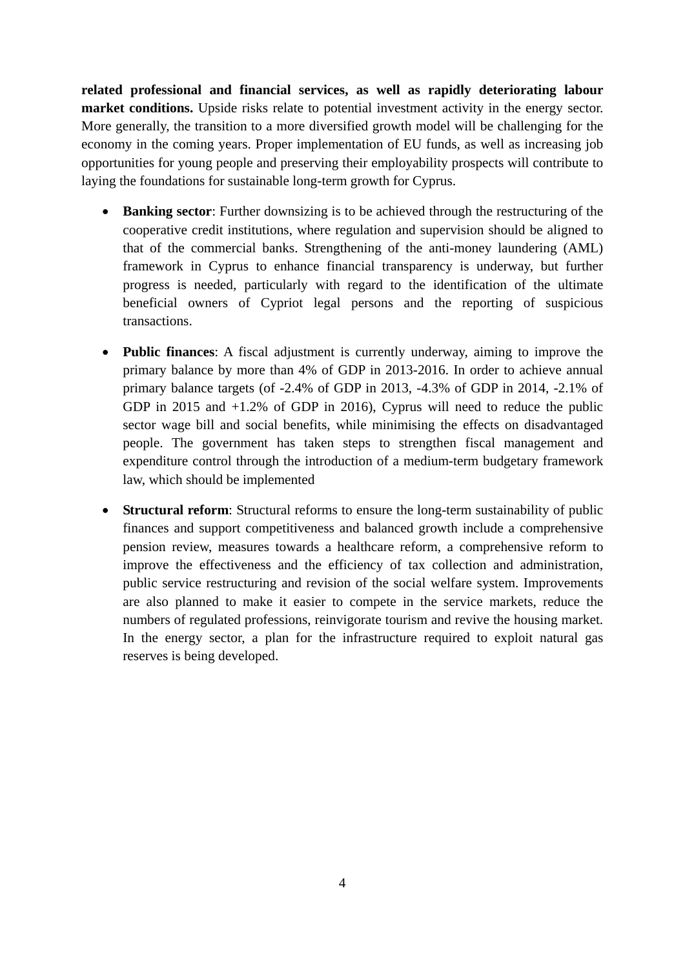**related professional and financial services, as well as rapidly deteriorating labour market conditions.** Upside risks relate to potential investment activity in the energy sector. More generally, the transition to a more diversified growth model will be challenging for the economy in the coming years. Proper implementation of EU funds, as well as increasing job opportunities for young people and preserving their employability prospects will contribute to laying the foundations for sustainable long-term growth for Cyprus.

- **Banking sector**: Further downsizing is to be achieved through the restructuring of the cooperative credit institutions, where regulation and supervision should be aligned to that of the commercial banks. Strengthening of the anti-money laundering (AML) framework in Cyprus to enhance financial transparency is underway, but further progress is needed, particularly with regard to the identification of the ultimate beneficial owners of Cypriot legal persons and the reporting of suspicious transactions.
- **Public finances**: A fiscal adjustment is currently underway, aiming to improve the primary balance by more than 4% of GDP in 2013-2016. In order to achieve annual primary balance targets (of -2.4% of GDP in 2013, -4.3% of GDP in 2014, -2.1% of GDP in 2015 and +1.2% of GDP in 2016), Cyprus will need to reduce the public sector wage bill and social benefits, while minimising the effects on disadvantaged people. The government has taken steps to strengthen fiscal management and expenditure control through the introduction of a medium-term budgetary framework law, which should be implemented
- **Structural reform**: Structural reforms to ensure the long-term sustainability of public finances and support competitiveness and balanced growth include a comprehensive pension review, measures towards a healthcare reform, a comprehensive reform to improve the effectiveness and the efficiency of tax collection and administration, public service restructuring and revision of the social welfare system. Improvements are also planned to make it easier to compete in the service markets, reduce the numbers of regulated professions, reinvigorate tourism and revive the housing market. In the energy sector, a plan for the infrastructure required to exploit natural gas reserves is being developed.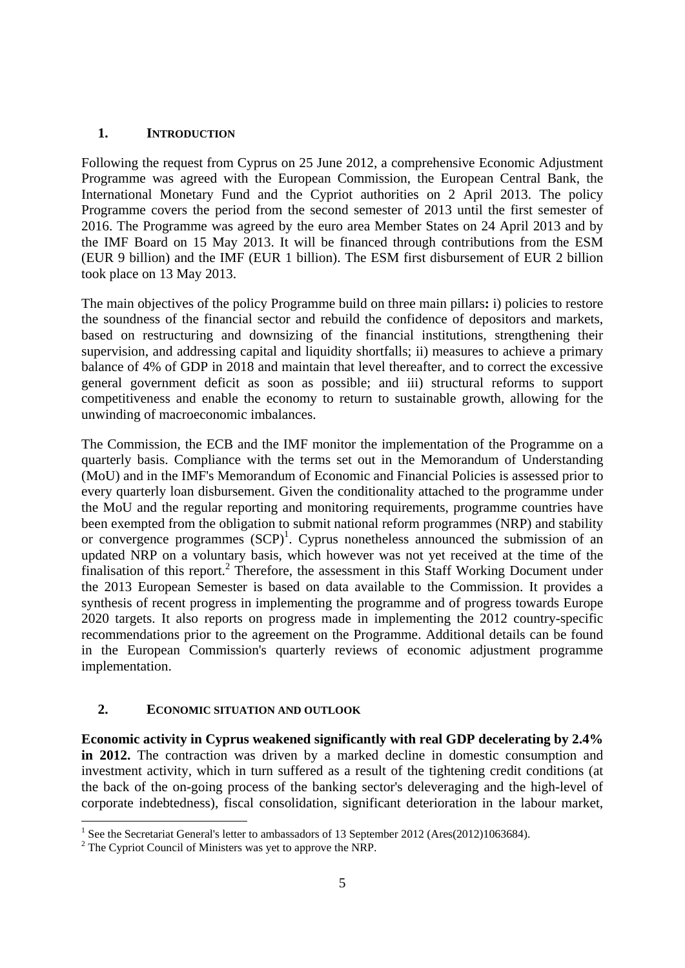### **1. INTRODUCTION**

<span id="page-4-0"></span>Following the request from Cyprus on 25 June 2012, a comprehensive Economic Adjustment Programme was agreed with the European Commission, the European Central Bank, the International Monetary Fund and the Cypriot authorities on 2 April 2013. The policy Programme covers the period from the second semester of 2013 until the first semester of 2016. The Programme was agreed by the euro area Member States on 24 April 2013 and by the IMF Board on 15 May 2013. It will be financed through contributions from the ESM (EUR 9 billion) and the IMF (EUR 1 billion). The ESM first disbursement of EUR 2 billion took place on 13 May 2013.

The main objectives of the policy Programme build on three main pillars**:** i) policies to restore the soundness of the financial sector and rebuild the confidence of depositors and markets, based on restructuring and downsizing of the financial institutions, strengthening their supervision, and addressing capital and liquidity shortfalls; ii) measures to achieve a primary balance of 4% of GDP in 2018 and maintain that level thereafter, and to correct the excessive general government deficit as soon as possible; and iii) structural reforms to support competitiveness and enable the economy to return to sustainable growth, allowing for the unwinding of macroeconomic imbalances.

The Commission, the ECB and the IMF monitor the implementation of the Programme on a quarterly basis. Compliance with the terms set out in the Memorandum of Understanding (MoU) and in the IMF's Memorandum of Economic and Financial Policies is assessed prior to every quarterly loan disbursement. Given the conditionality attached to the programme under the MoU and the regular reporting and monitoring requirements, programme countries have been exempted from the obligation to submit national reform programmes (NRP) and stability or convergence programmes  $(SCP)^1$ . Cyprus nonetheless announced the submission of an updated NRP on a voluntary basis, which however was not yet received at the time of the finalisation of this report.<sup>2</sup> Therefore, the assessment in this Staff Working Document under the 2013 European Semester is based on data available to the Commission. It provides a synthesis of recent progress in implementing the programme and of progress towards Europe 2020 targets. It also reports on progress made in implementing the 2012 country-specific recommendations prior to the agreement on the Programme. Additional details can be found in the European Commission's quarterly reviews of economic adjustment programme implementation.

### **2. ECONOMIC SITUATION AND OUTLOOK**

<span id="page-4-1"></span>**Economic activity in Cyprus weakened significantly with real GDP decelerating by 2.4% in 2012.** The contraction was driven by a marked decline in domestic consumption and investment activity, which in turn suffered as a result of the tightening credit conditions (at the back of the on-going process of the banking sector's deleveraging and the high-level of corporate indebtedness), fiscal consolidation, significant deterioration in the labour market,

 1 See the Secretariat General's letter to ambassadors of 13 September 2012 (Ares(2012)1063684).

 $2^2$  The Cypriot Council of Ministers was yet to approve the NRP.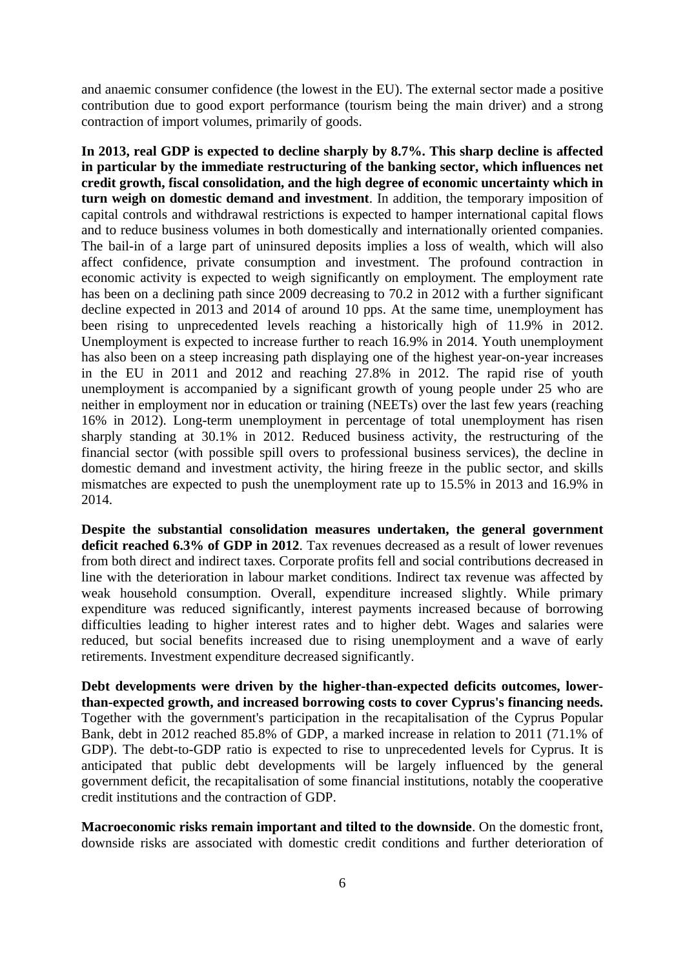and anaemic consumer confidence (the lowest in the EU). The external sector made a positive contribution due to good export performance (tourism being the main driver) and a strong contraction of import volumes, primarily of goods.

**In 2013, real GDP is expected to decline sharply by 8.7%. This sharp decline is affected in particular by the immediate restructuring of the banking sector, which influences net credit growth, fiscal consolidation, and the high degree of economic uncertainty which in turn weigh on domestic demand and investment**. In addition, the temporary imposition of capital controls and withdrawal restrictions is expected to hamper international capital flows and to reduce business volumes in both domestically and internationally oriented companies. The bail-in of a large part of uninsured deposits implies a loss of wealth, which will also affect confidence, private consumption and investment. The profound contraction in economic activity is expected to weigh significantly on employment. The employment rate has been on a declining path since 2009 decreasing to 70.2 in 2012 with a further significant decline expected in 2013 and 2014 of around 10 pps. At the same time, unemployment has been rising to unprecedented levels reaching a historically high of 11.9% in 2012. Unemployment is expected to increase further to reach 16.9% in 2014. Youth unemployment has also been on a steep increasing path displaying one of the highest year-on-year increases in the EU in 2011 and 2012 and reaching 27.8% in 2012. The rapid rise of youth unemployment is accompanied by a significant growth of young people under 25 who are neither in employment nor in education or training (NEETs) over the last few years (reaching 16% in 2012). Long-term unemployment in percentage of total unemployment has risen sharply standing at 30.1% in 2012. Reduced business activity, the restructuring of the financial sector (with possible spill overs to professional business services), the decline in domestic demand and investment activity, the hiring freeze in the public sector, and skills mismatches are expected to push the unemployment rate up to 15.5% in 2013 and 16.9% in 2014.

**Despite the substantial consolidation measures undertaken, the general government deficit reached 6.3% of GDP in 2012**. Tax revenues decreased as a result of lower revenues from both direct and indirect taxes. Corporate profits fell and social contributions decreased in line with the deterioration in labour market conditions. Indirect tax revenue was affected by weak household consumption. Overall, expenditure increased slightly. While primary expenditure was reduced significantly, interest payments increased because of borrowing difficulties leading to higher interest rates and to higher debt. Wages and salaries were reduced, but social benefits increased due to rising unemployment and a wave of early retirements. Investment expenditure decreased significantly.

**Debt developments were driven by the higher-than-expected deficits outcomes, lowerthan-expected growth, and increased borrowing costs to cover Cyprus's financing needs.** Together with the government's participation in the recapitalisation of the Cyprus Popular Bank, debt in 2012 reached 85.8% of GDP, a marked increase in relation to 2011 (71.1% of GDP). The debt-to-GDP ratio is expected to rise to unprecedented levels for Cyprus. It is anticipated that public debt developments will be largely influenced by the general government deficit, the recapitalisation of some financial institutions, notably the cooperative credit institutions and the contraction of GDP.

**Macroeconomic risks remain important and tilted to the downside**. On the domestic front, downside risks are associated with domestic credit conditions and further deterioration of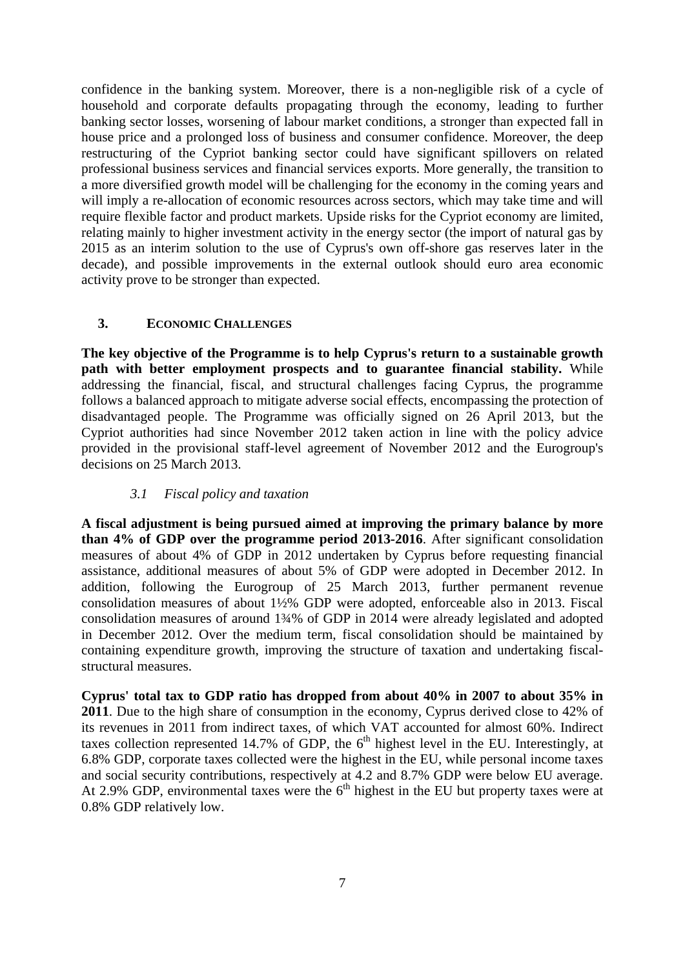confidence in the banking system. Moreover, there is a non-negligible risk of a cycle of household and corporate defaults propagating through the economy, leading to further banking sector losses, worsening of labour market conditions, a stronger than expected fall in house price and a prolonged loss of business and consumer confidence. Moreover, the deep restructuring of the Cypriot banking sector could have significant spillovers on related professional business services and financial services exports. More generally, the transition to a more diversified growth model will be challenging for the economy in the coming years and will imply a re-allocation of economic resources across sectors, which may take time and will require flexible factor and product markets. Upside risks for the Cypriot economy are limited, relating mainly to higher investment activity in the energy sector (the import of natural gas by 2015 as an interim solution to the use of Cyprus's own off-shore gas reserves later in the decade), and possible improvements in the external outlook should euro area economic activity prove to be stronger than expected.

### **3. ECONOMIC CHALLENGES**

<span id="page-6-0"></span>**The key objective of the Programme is to help Cyprus's return to a sustainable growth path with better employment prospects and to guarantee financial stability.** While addressing the financial, fiscal, and structural challenges facing Cyprus, the programme follows a balanced approach to mitigate adverse social effects, encompassing the protection of disadvantaged people. The Programme was officially signed on 26 April 2013, but the Cypriot authorities had since November 2012 taken action in line with the policy advice provided in the provisional staff-level agreement of November 2012 and the Eurogroup's decisions on 25 March 2013.

### *3.1 Fiscal policy and taxation*

<span id="page-6-1"></span>**A fiscal adjustment is being pursued aimed at improving the primary balance by more than 4% of GDP over the programme period 2013-2016**. After significant consolidation measures of about 4% of GDP in 2012 undertaken by Cyprus before requesting financial assistance, additional measures of about 5% of GDP were adopted in December 2012. In addition, following the Eurogroup of 25 March 2013, further permanent revenue consolidation measures of about 1½% GDP were adopted, enforceable also in 2013. Fiscal consolidation measures of around 1¾% of GDP in 2014 were already legislated and adopted in December 2012. Over the medium term, fiscal consolidation should be maintained by containing expenditure growth, improving the structure of taxation and undertaking fiscalstructural measures.

**Cyprus' total tax to GDP ratio has dropped from about 40% in 2007 to about 35% in 2011**. Due to the high share of consumption in the economy, Cyprus derived close to 42% of its revenues in 2011 from indirect taxes, of which VAT accounted for almost 60%. Indirect taxes collection represented 14.7% of GDP, the  $6<sup>th</sup>$  highest level in the EU. Interestingly, at 6.8% GDP, corporate taxes collected were the highest in the EU, while personal income taxes and social security contributions, respectively at 4.2 and 8.7% GDP were below EU average. At 2.9% GDP, environmental taxes were the  $6<sup>th</sup>$  highest in the EU but property taxes were at 0.8% GDP relatively low.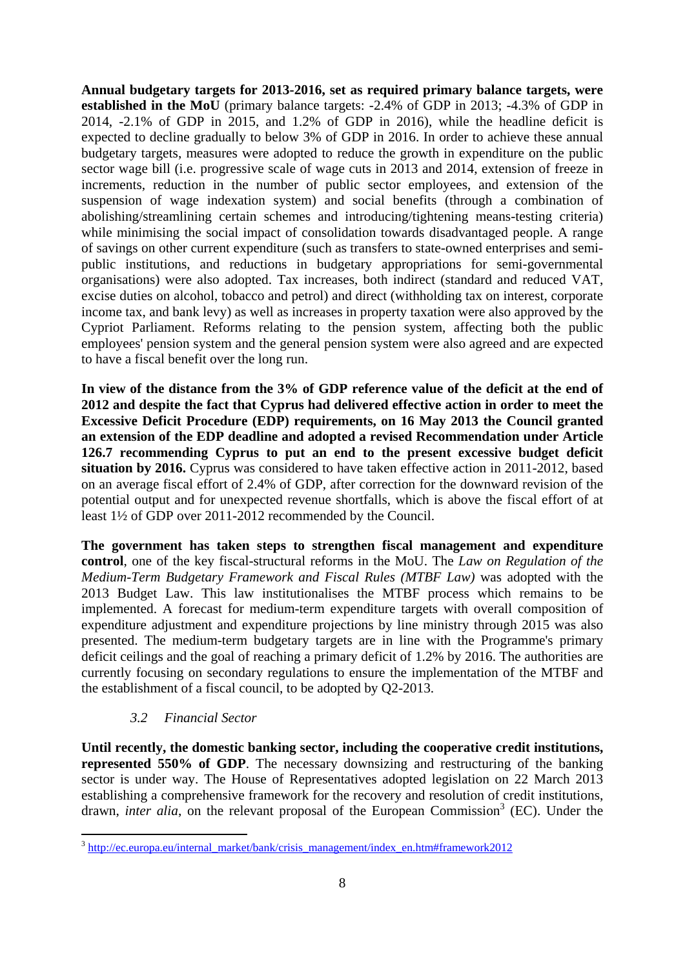**Annual budgetary targets for 2013-2016, set as required primary balance targets, were established in the MoU** (primary balance targets: -2.4% of GDP in 2013; -4.3% of GDP in 2014, -2.1% of GDP in 2015, and 1.2% of GDP in 2016), while the headline deficit is expected to decline gradually to below 3% of GDP in 2016. In order to achieve these annual budgetary targets, measures were adopted to reduce the growth in expenditure on the public sector wage bill (i.e. progressive scale of wage cuts in 2013 and 2014, extension of freeze in increments, reduction in the number of public sector employees, and extension of the suspension of wage indexation system) and social benefits (through a combination of abolishing/streamlining certain schemes and introducing/tightening means-testing criteria) while minimising the social impact of consolidation towards disadvantaged people. A range of savings on other current expenditure (such as transfers to state-owned enterprises and semipublic institutions, and reductions in budgetary appropriations for semi-governmental organisations) were also adopted. Tax increases, both indirect (standard and reduced VAT, excise duties on alcohol, tobacco and petrol) and direct (withholding tax on interest, corporate income tax, and bank levy) as well as increases in property taxation were also approved by the Cypriot Parliament. Reforms relating to the pension system, affecting both the public employees' pension system and the general pension system were also agreed and are expected to have a fiscal benefit over the long run.

**In view of the distance from the 3% of GDP reference value of the deficit at the end of 2012 and despite the fact that Cyprus had delivered effective action in order to meet the Excessive Deficit Procedure (EDP) requirements, on 16 May 2013 the Council granted an extension of the EDP deadline and adopted a revised Recommendation under Article 126.7 recommending Cyprus to put an end to the present excessive budget deficit situation by 2016.** Cyprus was considered to have taken effective action in 2011-2012, based on an average fiscal effort of 2.4% of GDP, after correction for the downward revision of the potential output and for unexpected revenue shortfalls, which is above the fiscal effort of at least 1½ of GDP over 2011-2012 recommended by the Council.

**The government has taken steps to strengthen fiscal management and expenditure control**, one of the key fiscal-structural reforms in the MoU. The *Law on Regulation of the Medium-Term Budgetary Framework and Fiscal Rules (MTBF Law)* was adopted with the 2013 Budget Law. This law institutionalises the MTBF process which remains to be implemented. A forecast for medium-term expenditure targets with overall composition of expenditure adjustment and expenditure projections by line ministry through 2015 was also presented. The medium-term budgetary targets are in line with the Programme's primary deficit ceilings and the goal of reaching a primary deficit of 1.2% by 2016. The authorities are currently focusing on secondary regulations to ensure the implementation of the MTBF and the establishment of a fiscal council, to be adopted by Q2-2013.

### *3.2 Financial Sector*

1

<span id="page-7-0"></span>**Until recently, the domestic banking sector, including the cooperative credit institutions, represented 550% of GDP**. The necessary downsizing and restructuring of the banking sector is under way. The House of Representatives adopted legislation on 22 March 2013 establishing a comprehensive framework for the recovery and resolution of credit institutions, drawn, *inter alia*, on the relevant proposal of the European Commission<sup>3</sup> (EC). Under the

<sup>&</sup>lt;sup>3</sup> [http://ec.europa.eu/internal\\_market/bank/crisis\\_management/index\\_en.htm#framework2012](http://ec.europa.eu/internal_market/bank/crisis_management/index_en.htm#framework2012)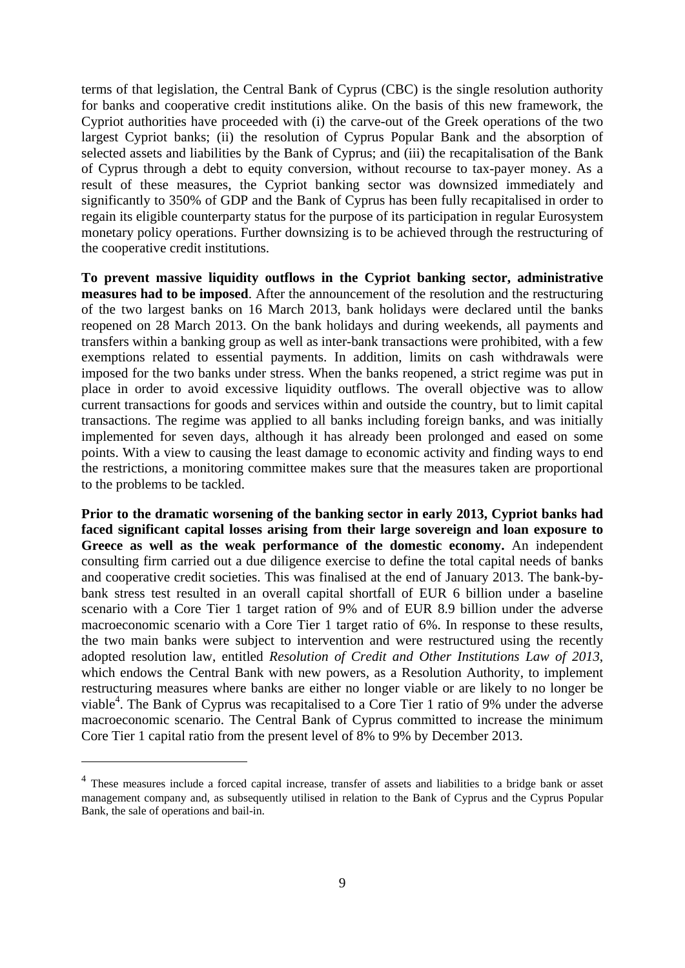terms of that legislation, the Central Bank of Cyprus (CBC) is the single resolution authority for banks and cooperative credit institutions alike. On the basis of this new framework, the Cypriot authorities have proceeded with (i) the carve-out of the Greek operations of the two largest Cypriot banks; (ii) the resolution of Cyprus Popular Bank and the absorption of selected assets and liabilities by the Bank of Cyprus; and (iii) the recapitalisation of the Bank of Cyprus through a debt to equity conversion, without recourse to tax-payer money. As a result of these measures, the Cypriot banking sector was downsized immediately and significantly to 350% of GDP and the Bank of Cyprus has been fully recapitalised in order to regain its eligible counterparty status for the purpose of its participation in regular Eurosystem monetary policy operations. Further downsizing is to be achieved through the restructuring of the cooperative credit institutions.

**To prevent massive liquidity outflows in the Cypriot banking sector, administrative measures had to be imposed**. After the announcement of the resolution and the restructuring of the two largest banks on 16 March 2013, bank holidays were declared until the banks reopened on 28 March 2013. On the bank holidays and during weekends, all payments and transfers within a banking group as well as inter-bank transactions were prohibited, with a few exemptions related to essential payments. In addition, limits on cash withdrawals were imposed for the two banks under stress. When the banks reopened, a strict regime was put in place in order to avoid excessive liquidity outflows. The overall objective was to allow current transactions for goods and services within and outside the country, but to limit capital transactions. The regime was applied to all banks including foreign banks, and was initially implemented for seven days, although it has already been prolonged and eased on some points. With a view to causing the least damage to economic activity and finding ways to end the restrictions, a monitoring committee makes sure that the measures taken are proportional to the problems to be tackled.

**Prior to the dramatic worsening of the banking sector in early 2013, Cypriot banks had faced significant capital losses arising from their large sovereign and loan exposure to Greece as well as the weak performance of the domestic economy.** An independent consulting firm carried out a due diligence exercise to define the total capital needs of banks and cooperative credit societies. This was finalised at the end of January 2013. The bank-bybank stress test resulted in an overall capital shortfall of EUR 6 billion under a baseline scenario with a Core Tier 1 target ration of 9% and of EUR 8.9 billion under the adverse macroeconomic scenario with a Core Tier 1 target ratio of 6%. In response to these results, the two main banks were subject to intervention and were restructured using the recently adopted resolution law, entitled *Resolution of Credit and Other Institutions Law of 2013*, which endows the Central Bank with new powers, as a Resolution Authority, to implement restructuring measures where banks are either no longer viable or are likely to no longer be viable<sup>4</sup>. The Bank of Cyprus was recapitalised to a Core Tier 1 ratio of 9% under the adverse macroeconomic scenario. The Central Bank of Cyprus committed to increase the minimum Core Tier 1 capital ratio from the present level of 8% to 9% by December 2013.

1

<sup>&</sup>lt;sup>4</sup> These measures include a forced capital increase, transfer of assets and liabilities to a bridge bank or asset management company and, as subsequently utilised in relation to the Bank of Cyprus and the Cyprus Popular Bank, the sale of operations and bail-in.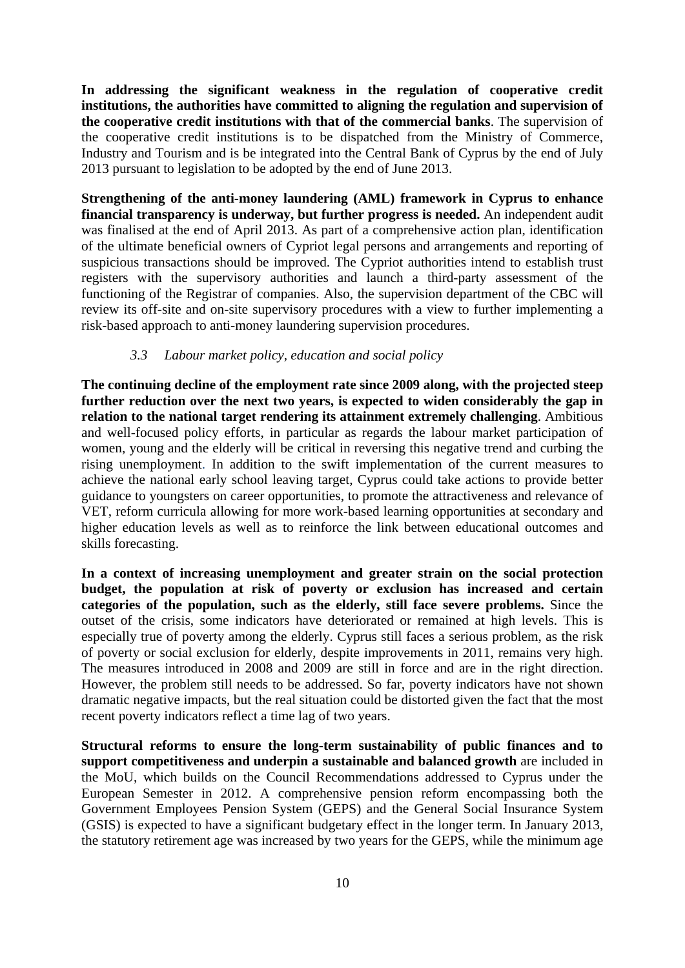**In addressing the significant weakness in the regulation of cooperative credit institutions, the authorities have committed to aligning the regulation and supervision of the cooperative credit institutions with that of the commercial banks**. The supervision of the cooperative credit institutions is to be dispatched from the Ministry of Commerce, Industry and Tourism and is be integrated into the Central Bank of Cyprus by the end of July 2013 pursuant to legislation to be adopted by the end of June 2013.

**Strengthening of the anti-money laundering (AML) framework in Cyprus to enhance financial transparency is underway, but further progress is needed.** An independent audit was finalised at the end of April 2013. As part of a comprehensive action plan, identification of the ultimate beneficial owners of Cypriot legal persons and arrangements and reporting of suspicious transactions should be improved. The Cypriot authorities intend to establish trust registers with the supervisory authorities and launch a third-party assessment of the functioning of the Registrar of companies. Also, the supervision department of the CBC will review its off-site and on-site supervisory procedures with a view to further implementing a risk-based approach to anti-money laundering supervision procedures.

#### *3.3 Labour market policy, education and social policy*

<span id="page-9-0"></span>**The continuing decline of the employment rate since 2009 along, with the projected steep**  further reduction over the next two years, is expected to widen considerably the gap in **relation to the national target rendering its attainment extremely challenging**. Ambitious and well-focused policy efforts, in particular as regards the labour market participation of women, young and the elderly will be critical in reversing this negative trend and curbing the rising unemployment. In addition to the swift implementation of the current measures to achieve the national early school leaving target, Cyprus could take actions to provide better guidance to youngsters on career opportunities, to promote the attractiveness and relevance of VET, reform curricula allowing for more work-based learning opportunities at secondary and higher education levels as well as to reinforce the link between educational outcomes and skills forecasting.

**In a context of increasing unemployment and greater strain on the social protection budget, the population at risk of poverty or exclusion has increased and certain categories of the population, such as the elderly, still face severe problems.** Since the outset of the crisis, some indicators have deteriorated or remained at high levels. This is especially true of poverty among the elderly. Cyprus still faces a serious problem, as the risk of poverty or social exclusion for elderly, despite improvements in 2011, remains very high. The measures introduced in 2008 and 2009 are still in force and are in the right direction. However, the problem still needs to be addressed. So far, poverty indicators have not shown dramatic negative impacts, but the real situation could be distorted given the fact that the most recent poverty indicators reflect a time lag of two years.

**Structural reforms to ensure the long-term sustainability of public finances and to support competitiveness and underpin a sustainable and balanced growth** are included in the MoU, which builds on the Council Recommendations addressed to Cyprus under the European Semester in 2012. A comprehensive pension reform encompassing both the Government Employees Pension System (GEPS) and the General Social Insurance System (GSIS) is expected to have a significant budgetary effect in the longer term. In January 2013, the statutory retirement age was increased by two years for the GEPS, while the minimum age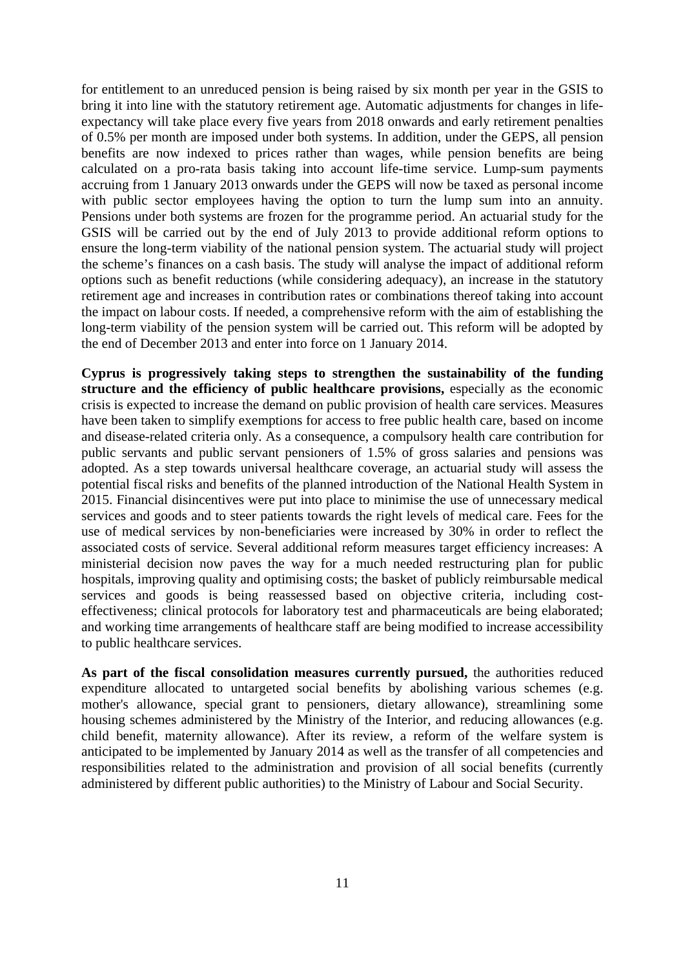for entitlement to an unreduced pension is being raised by six month per year in the GSIS to bring it into line with the statutory retirement age. Automatic adjustments for changes in lifeexpectancy will take place every five years from 2018 onwards and early retirement penalties of 0.5% per month are imposed under both systems. In addition, under the GEPS, all pension benefits are now indexed to prices rather than wages, while pension benefits are being calculated on a pro-rata basis taking into account life-time service. Lump-sum payments accruing from 1 January 2013 onwards under the GEPS will now be taxed as personal income with public sector employees having the option to turn the lump sum into an annuity. Pensions under both systems are frozen for the programme period. An actuarial study for the GSIS will be carried out by the end of July 2013 to provide additional reform options to ensure the long-term viability of the national pension system. The actuarial study will project the scheme's finances on a cash basis. The study will analyse the impact of additional reform options such as benefit reductions (while considering adequacy), an increase in the statutory retirement age and increases in contribution rates or combinations thereof taking into account the impact on labour costs. If needed, a comprehensive reform with the aim of establishing the long-term viability of the pension system will be carried out. This reform will be adopted by the end of December 2013 and enter into force on 1 January 2014.

**Cyprus is progressively taking steps to strengthen the sustainability of the funding**  structure and the efficiency of public healthcare provisions, especially as the economic crisis is expected to increase the demand on public provision of health care services. Measures have been taken to simplify exemptions for access to free public health care, based on income and disease-related criteria only. As a consequence, a compulsory health care contribution for public servants and public servant pensioners of 1.5% of gross salaries and pensions was adopted. As a step towards universal healthcare coverage, an actuarial study will assess the potential fiscal risks and benefits of the planned introduction of the National Health System in 2015. Financial disincentives were put into place to minimise the use of unnecessary medical services and goods and to steer patients towards the right levels of medical care. Fees for the use of medical services by non-beneficiaries were increased by 30% in order to reflect the associated costs of service. Several additional reform measures target efficiency increases: A ministerial decision now paves the way for a much needed restructuring plan for public hospitals, improving quality and optimising costs; the basket of publicly reimbursable medical services and goods is being reassessed based on objective criteria, including costeffectiveness; clinical protocols for laboratory test and pharmaceuticals are being elaborated; and working time arrangements of healthcare staff are being modified to increase accessibility to public healthcare services.

**As part of the fiscal consolidation measures currently pursued,** the authorities reduced expenditure allocated to untargeted social benefits by abolishing various schemes (e.g. mother's allowance, special grant to pensioners, dietary allowance), streamlining some housing schemes administered by the Ministry of the Interior, and reducing allowances (e.g. child benefit, maternity allowance). After its review, a reform of the welfare system is anticipated to be implemented by January 2014 as well as the transfer of all competencies and responsibilities related to the administration and provision of all social benefits (currently administered by different public authorities) to the Ministry of Labour and Social Security.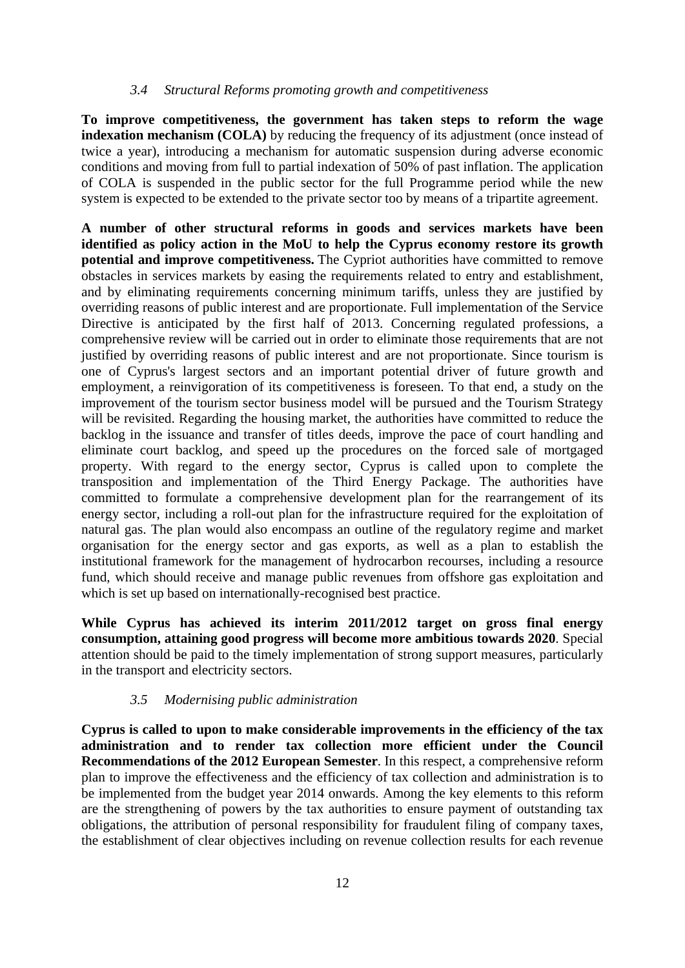#### *3.4 Structural Reforms promoting growth and competitiveness*

<span id="page-11-0"></span>**To improve competitiveness, the government has taken steps to reform the wage indexation mechanism (COLA)** by reducing the frequency of its adjustment (once instead of twice a year), introducing a mechanism for automatic suspension during adverse economic conditions and moving from full to partial indexation of 50% of past inflation. The application of COLA is suspended in the public sector for the full Programme period while the new system is expected to be extended to the private sector too by means of a tripartite agreement.

**A number of other structural reforms in goods and services markets have been identified as policy action in the MoU to help the Cyprus economy restore its growth potential and improve competitiveness.** The Cypriot authorities have committed to remove obstacles in services markets by easing the requirements related to entry and establishment, and by eliminating requirements concerning minimum tariffs, unless they are justified by overriding reasons of public interest and are proportionate. Full implementation of the Service Directive is anticipated by the first half of 2013. Concerning regulated professions, a comprehensive review will be carried out in order to eliminate those requirements that are not justified by overriding reasons of public interest and are not proportionate. Since tourism is one of Cyprus's largest sectors and an important potential driver of future growth and employment, a reinvigoration of its competitiveness is foreseen. To that end, a study on the improvement of the tourism sector business model will be pursued and the Tourism Strategy will be revisited. Regarding the housing market, the authorities have committed to reduce the backlog in the issuance and transfer of titles deeds, improve the pace of court handling and eliminate court backlog, and speed up the procedures on the forced sale of mortgaged property. With regard to the energy sector, Cyprus is called upon to complete the transposition and implementation of the Third Energy Package. The authorities have committed to formulate a comprehensive development plan for the rearrangement of its energy sector, including a roll-out plan for the infrastructure required for the exploitation of natural gas. The plan would also encompass an outline of the regulatory regime and market organisation for the energy sector and gas exports, as well as a plan to establish the institutional framework for the management of hydrocarbon recourses, including a resource fund, which should receive and manage public revenues from offshore gas exploitation and which is set up based on internationally-recognised best practice.

**While Cyprus has achieved its interim 2011/2012 target on gross final energy consumption, attaining good progress will become more ambitious towards 2020**. Special attention should be paid to the timely implementation of strong support measures, particularly in the transport and electricity sectors.

#### *3.5 Modernising public administration*

<span id="page-11-1"></span>**Cyprus is called to upon to make considerable improvements in the efficiency of the tax administration and to render tax collection more efficient under the Council Recommendations of the 2012 European Semester**. In this respect, a comprehensive reform plan to improve the effectiveness and the efficiency of tax collection and administration is to be implemented from the budget year 2014 onwards. Among the key elements to this reform are the strengthening of powers by the tax authorities to ensure payment of outstanding tax obligations, the attribution of personal responsibility for fraudulent filing of company taxes, the establishment of clear objectives including on revenue collection results for each revenue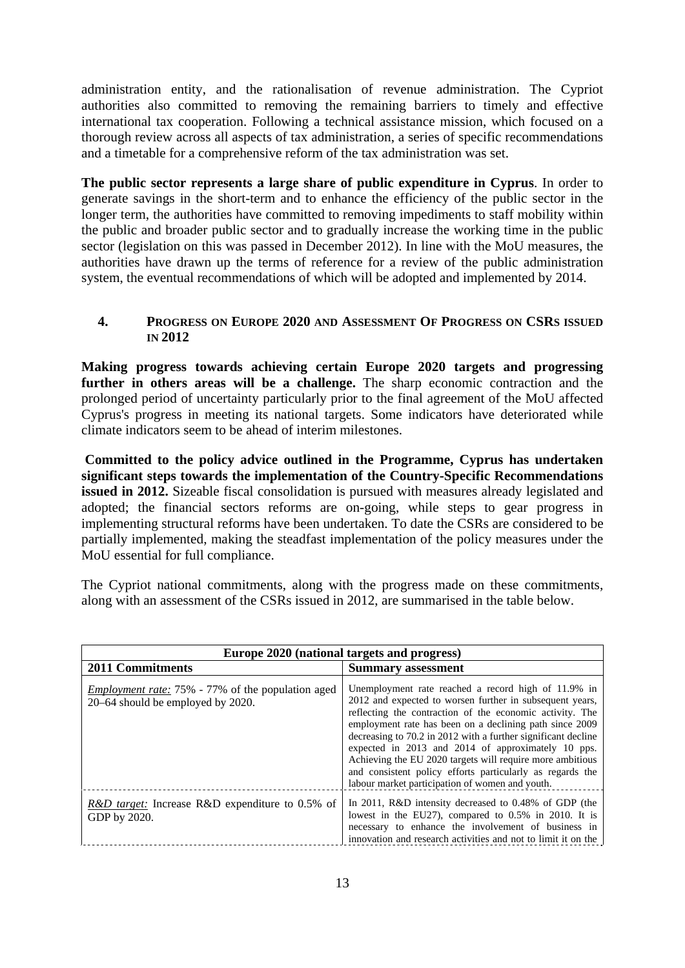administration entity, and the rationalisation of revenue administration. The Cypriot authorities also committed to removing the remaining barriers to timely and effective international tax cooperation. Following a technical assistance mission, which focused on a thorough review across all aspects of tax administration, a series of specific recommendations and a timetable for a comprehensive reform of the tax administration was set.

**The public sector represents a large share of public expenditure in Cyprus**. In order to generate savings in the short-term and to enhance the efficiency of the public sector in the longer term, the authorities have committed to removing impediments to staff mobility within the public and broader public sector and to gradually increase the working time in the public sector (legislation on this was passed in December 2012). In line with the MoU measures, the authorities have drawn up the terms of reference for a review of the public administration system, the eventual recommendations of which will be adopted and implemented by 2014.

### <span id="page-12-0"></span>**4. PROGRESS ON EUROPE 2020 AND ASSESSMENT OF PROGRESS ON CSRS ISSUED IN 2012**

**Making progress towards achieving certain Europe 2020 targets and progressing**  further in others areas will be a challenge. The sharp economic contraction and the prolonged period of uncertainty particularly prior to the final agreement of the MoU affected Cyprus's progress in meeting its national targets. Some indicators have deteriorated while climate indicators seem to be ahead of interim milestones.

 **Committed to the policy advice outlined in the Programme, Cyprus has undertaken significant steps towards the implementation of the Country-Specific Recommendations issued in 2012.** Sizeable fiscal consolidation is pursued with measures already legislated and adopted; the financial sectors reforms are on-going, while steps to gear progress in implementing structural reforms have been undertaken. To date the CSRs are considered to be partially implemented, making the steadfast implementation of the policy measures under the MoU essential for full compliance.

The Cypriot national commitments, along with the progress made on these commitments, along with an assessment of the CSRs issued in 2012, are summarised in the table below.

| Europe 2020 (national targets and progress)                                                   |                                                                                                                                                                                                                                                                                                                                                                                                                                                                                                                                            |  |  |  |  |  |
|-----------------------------------------------------------------------------------------------|--------------------------------------------------------------------------------------------------------------------------------------------------------------------------------------------------------------------------------------------------------------------------------------------------------------------------------------------------------------------------------------------------------------------------------------------------------------------------------------------------------------------------------------------|--|--|--|--|--|
| <b>2011 Commitments</b>                                                                       | <b>Summary assessment</b>                                                                                                                                                                                                                                                                                                                                                                                                                                                                                                                  |  |  |  |  |  |
| <i>Employment rate:</i> 75% - 77% of the population aged<br>20–64 should be employed by 2020. | Unemployment rate reached a record high of 11.9% in<br>2012 and expected to worsen further in subsequent years,<br>reflecting the contraction of the economic activity. The<br>employment rate has been on a declining path since 2009<br>decreasing to 70.2 in 2012 with a further significant decline<br>expected in 2013 and 2014 of approximately 10 pps.<br>Achieving the EU 2020 targets will require more ambitious<br>and consistent policy efforts particularly as regards the<br>labour market participation of women and youth. |  |  |  |  |  |
| <i>R&amp;D target:</i> Increase R&D expenditure to 0.5% of<br>GDP by 2020.                    | In 2011, R&D intensity decreased to 0.48% of GDP (the<br>lowest in the EU27), compared to $0.5\%$ in 2010. It is<br>necessary to enhance the involvement of business in<br>innovation and research activities and not to limit it on the                                                                                                                                                                                                                                                                                                   |  |  |  |  |  |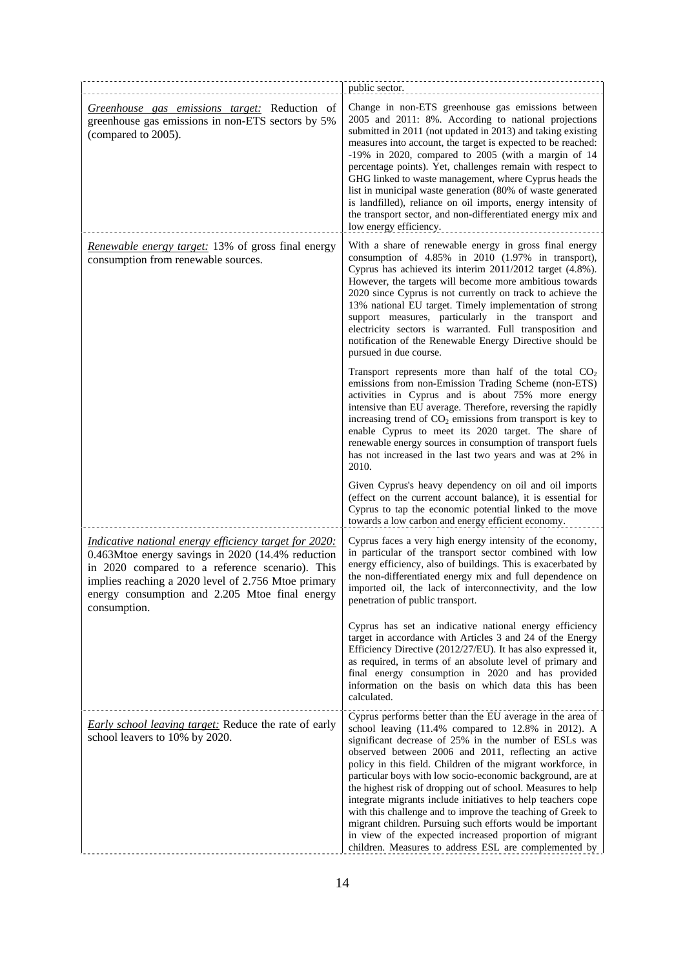|                                                                                                                                                                                                                                                                                                | public sector.                                                                                                                                                                                                                                                                                                                                                                                                                                                                                                                                                                                                                                                                                                                                  |
|------------------------------------------------------------------------------------------------------------------------------------------------------------------------------------------------------------------------------------------------------------------------------------------------|-------------------------------------------------------------------------------------------------------------------------------------------------------------------------------------------------------------------------------------------------------------------------------------------------------------------------------------------------------------------------------------------------------------------------------------------------------------------------------------------------------------------------------------------------------------------------------------------------------------------------------------------------------------------------------------------------------------------------------------------------|
| Greenhouse gas emissions target: Reduction of<br>greenhouse gas emissions in non-ETS sectors by 5%<br>(compared to 2005).                                                                                                                                                                      | Change in non-ETS greenhouse gas emissions between<br>2005 and 2011: 8%. According to national projections<br>submitted in 2011 (not updated in 2013) and taking existing<br>measures into account, the target is expected to be reached:<br>-19% in 2020, compared to 2005 (with a margin of 14<br>percentage points). Yet, challenges remain with respect to<br>GHG linked to waste management, where Cyprus heads the<br>list in municipal waste generation (80% of waste generated<br>is landfilled), reliance on oil imports, energy intensity of<br>the transport sector, and non-differentiated energy mix and<br>low energy efficiency.                                                                                                 |
| Renewable energy target: 13% of gross final energy<br>consumption from renewable sources.                                                                                                                                                                                                      | With a share of renewable energy in gross final energy<br>consumption of 4.85% in 2010 (1.97% in transport),<br>Cyprus has achieved its interim 2011/2012 target (4.8%).<br>However, the targets will become more ambitious towards<br>2020 since Cyprus is not currently on track to achieve the<br>13% national EU target. Timely implementation of strong<br>support measures, particularly in the transport and<br>electricity sectors is warranted. Full transposition and<br>notification of the Renewable Energy Directive should be<br>pursued in due course.                                                                                                                                                                           |
|                                                                                                                                                                                                                                                                                                | Transport represents more than half of the total $CO2$<br>emissions from non-Emission Trading Scheme (non-ETS)<br>activities in Cyprus and is about 75% more energy<br>intensive than EU average. Therefore, reversing the rapidly<br>increasing trend of $CO2$ emissions from transport is key to<br>enable Cyprus to meet its 2020 target. The share of<br>renewable energy sources in consumption of transport fuels<br>has not increased in the last two years and was at 2% in<br>2010.                                                                                                                                                                                                                                                    |
|                                                                                                                                                                                                                                                                                                | Given Cyprus's heavy dependency on oil and oil imports<br>(effect on the current account balance), it is essential for<br>Cyprus to tap the economic potential linked to the move<br>towards a low carbon and energy efficient economy.                                                                                                                                                                                                                                                                                                                                                                                                                                                                                                         |
| <i>Indicative national energy efficiency target for 2020:</i><br>0.463Mtoe energy savings in 2020 (14.4% reduction<br>in 2020 compared to a reference scenario). This<br>implies reaching a 2020 level of 2.756 Mtoe primary<br>energy consumption and 2.205 Mtoe final energy<br>consumption. | Cyprus faces a very high energy intensity of the economy,<br>in particular of the transport sector combined with low<br>energy efficiency, also of buildings. This is exacerbated by<br>the non-differentiated energy mix and full dependence on<br>imported oil, the lack of interconnectivity, and the low<br>penetration of public transport.                                                                                                                                                                                                                                                                                                                                                                                                |
|                                                                                                                                                                                                                                                                                                | Cyprus has set an indicative national energy efficiency<br>target in accordance with Articles 3 and 24 of the Energy<br>Efficiency Directive (2012/27/EU). It has also expressed it,<br>as required, in terms of an absolute level of primary and<br>final energy consumption in 2020 and has provided<br>information on the basis on which data this has been<br>calculated.                                                                                                                                                                                                                                                                                                                                                                   |
| <b>Early school leaving target:</b> Reduce the rate of early<br>school leavers to 10% by 2020.                                                                                                                                                                                                 | Cyprus performs better than the EU average in the area of<br>school leaving (11.4% compared to 12.8% in 2012). A<br>significant decrease of 25% in the number of ESLs was<br>observed between 2006 and 2011, reflecting an active<br>policy in this field. Children of the migrant workforce, in<br>particular boys with low socio-economic background, are at<br>the highest risk of dropping out of school. Measures to help<br>integrate migrants include initiatives to help teachers cope<br>with this challenge and to improve the teaching of Greek to<br>migrant children. Pursuing such efforts would be important<br>in view of the expected increased proportion of migrant<br>children. Measures to address ESL are complemented by |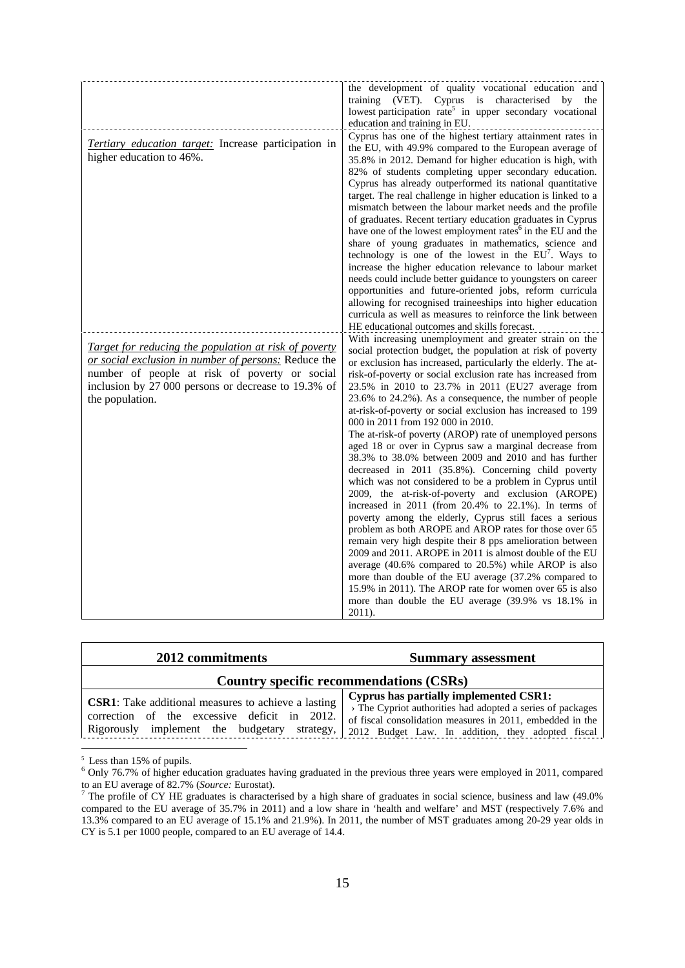|                                                                                                                                                                                                                                          | the development of quality vocational education and<br>(VET). Cyprus is characterised<br>training<br>by<br>the<br>lowest participation rate <sup>5</sup> in upper secondary vocational<br>education and training in EU.                                                                                                                                                                                                                                                                                                                                                                                                                                                                                                                                                                                                                                                                                                                                                                                                                                                                                                                                                                                                                                                                                                                                                           |
|------------------------------------------------------------------------------------------------------------------------------------------------------------------------------------------------------------------------------------------|-----------------------------------------------------------------------------------------------------------------------------------------------------------------------------------------------------------------------------------------------------------------------------------------------------------------------------------------------------------------------------------------------------------------------------------------------------------------------------------------------------------------------------------------------------------------------------------------------------------------------------------------------------------------------------------------------------------------------------------------------------------------------------------------------------------------------------------------------------------------------------------------------------------------------------------------------------------------------------------------------------------------------------------------------------------------------------------------------------------------------------------------------------------------------------------------------------------------------------------------------------------------------------------------------------------------------------------------------------------------------------------|
| Tertiary education target: Increase participation in<br>higher education to 46%.                                                                                                                                                         | Cyprus has one of the highest tertiary attainment rates in<br>the EU, with 49.9% compared to the European average of<br>35.8% in 2012. Demand for higher education is high, with<br>82% of students completing upper secondary education.<br>Cyprus has already outperformed its national quantitative<br>target. The real challenge in higher education is linked to a<br>mismatch between the labour market needs and the profile<br>of graduates. Recent tertiary education graduates in Cyprus<br>have one of the lowest employment rates <sup>6</sup> in the EU and the<br>share of young graduates in mathematics, science and<br>technology is one of the lowest in the $EU^7$ . Ways to<br>increase the higher education relevance to labour market<br>needs could include better guidance to youngsters on career<br>opportunities and future-oriented jobs, reform curricula<br>allowing for recognised traineeships into higher education<br>curricula as well as measures to reinforce the link between<br>HE educational outcomes and skills forecast.                                                                                                                                                                                                                                                                                                               |
| Target for reducing the population at risk of poverty<br>or social exclusion in number of persons: Reduce the<br>number of people at risk of poverty or social<br>inclusion by 27 000 persons or decrease to 19.3% of<br>the population. | With increasing unemployment and greater strain on the<br>social protection budget, the population at risk of poverty<br>or exclusion has increased, particularly the elderly. The at-<br>risk-of-poverty or social exclusion rate has increased from<br>23.5% in 2010 to 23.7% in 2011 (EU27 average from<br>23.6% to 24.2%). As a consequence, the number of people<br>at-risk-of-poverty or social exclusion has increased to 199<br>000 in 2011 from 192 000 in 2010.<br>The at-risk-of poverty (AROP) rate of unemployed persons<br>aged 18 or over in Cyprus saw a marginal decrease from<br>38.3% to 38.0% between 2009 and 2010 and has further<br>decreased in 2011 (35.8%). Concerning child poverty<br>which was not considered to be a problem in Cyprus until<br>2009, the at-risk-of-poverty and exclusion (AROPE)<br>increased in 2011 (from 20.4% to 22.1%). In terms of<br>poverty among the elderly, Cyprus still faces a serious<br>problem as both AROPE and AROP rates for those over 65<br>remain very high despite their 8 pps amelioration between<br>2009 and 2011. AROPE in 2011 is almost double of the EU<br>average (40.6% compared to 20.5%) while AROP is also<br>more than double of the EU average (37.2% compared to<br>15.9% in 2011). The AROP rate for women over 65 is also<br>more than double the EU average (39.9% vs 18.1% in<br>2011). |

| 2012 commitments                                                                                                                                            | <b>Summary assessment</b>                                                                                                                                                                                                     |
|-------------------------------------------------------------------------------------------------------------------------------------------------------------|-------------------------------------------------------------------------------------------------------------------------------------------------------------------------------------------------------------------------------|
|                                                                                                                                                             | Country specific recommendations (CSRs)                                                                                                                                                                                       |
| <b>CSR1</b> : Take additional measures to achieve a lasting<br>correction of the excessive deficit in 2012.<br>Rigorously implement the budgetary strategy, | <b>Cyprus has partially implemented CSR1:</b><br>> The Cypriot authorities had adopted a series of packages<br>of fiscal consolidation measures in 2011, embedded in the<br>2012 Budget Law. In addition, they adopted fiscal |

<sup>&</sup>lt;sup>5</sup> Less than 15% of pupils.<br> $^{6}$  Only 76.7% of bigher od

<sup>&</sup>lt;sup>6</sup> Only 76.7% of higher education graduates having graduated in the previous three years were employed in 2011, compared

to an EU average of 82.7% (*Source:* Eurostat).<br><sup>7</sup> The profile of CY HE graduates is characterised by a high share of graduates in social science, business and law (49.0% compared to the EU average of 35.7% in 2011) and a low share in 'health and welfare' and MST (respectively 7.6% and 13.3% compared to an EU average of 15.1% and 21.9%). In 2011, the number of MST graduates among 20-29 year olds in CY is 5.1 per 1000 people, compared to an EU average of 14.4.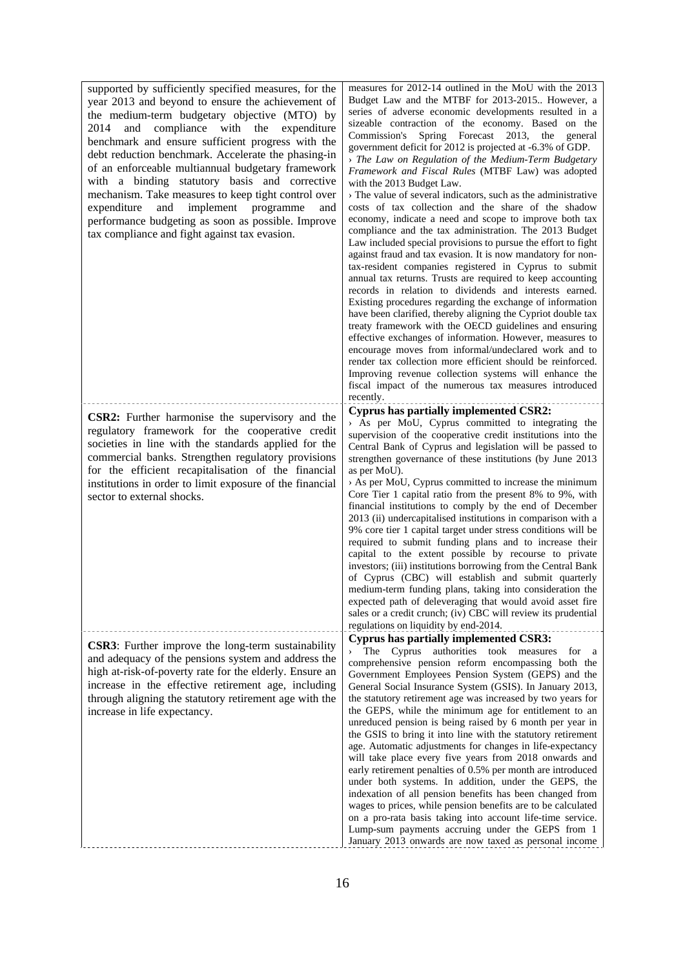supported by sufficiently specified measures, for the year 2013 and beyond to ensure the achievement of the medium-term budgetary objective (MTO) by 2014 and compliance with the expenditure benchmark and ensure sufficient progress with the debt reduction benchmark. Accelerate the phasing-in of an enforceable multiannual budgetary framework with a binding statutory basis and corrective mechanism. Take measures to keep tight control over expenditure and implement programme and performance budgeting as soon as possible. Improve tax compliance and fight against tax evasion.

**CSR2:** Further harmonise the supervisory and the regulatory framework for the cooperative credit societies in line with the standards applied for the commercial banks. Strengthen regulatory provisions for the efficient recapitalisation of the financial institutions in order to limit exposure of the financial sector to external shocks.

**CSR3**: Further improve the long-term sustainability and adequacy of the pensions system and address the high at-risk-of-poverty rate for the elderly. Ensure an increase in the effective retirement age, including through aligning the statutory retirement age with the

increase in life expectancy.

measures for 2012-14 outlined in the MoU with the 2013 Budget Law and the MTBF for 2013-2015.. However, a series of adverse economic developments resulted in a sizeable contraction of the economy. Based on the Commission's Spring Forecast 2013, the general government deficit for 2012 is projected at -6.3% of GDP.

› *The Law on Regulation of the Medium-Term Budgetary Framework and Fiscal Rules* (MTBF Law) was adopted with the 2013 Budget Law.

› The value of several indicators, such as the administrative costs of tax collection and the share of the shadow economy, indicate a need and scope to improve both tax compliance and the tax administration. The 2013 Budget Law included special provisions to pursue the effort to fight against fraud and tax evasion. It is now mandatory for nontax-resident companies registered in Cyprus to submit annual tax returns. Trusts are required to keep accounting records in relation to dividends and interests earned. Existing procedures regarding the exchange of information have been clarified, thereby aligning the Cypriot double tax treaty framework with the OECD guidelines and ensuring effective exchanges of information. However, measures to encourage moves from informal/undeclared work and to render tax collection more efficient should be reinforced. Improving revenue collection systems will enhance the fiscal impact of the numerous tax measures introduced recently.

#### **Cyprus has partially implemented CSR2:**

› As per MoU, Cyprus committed to integrating the supervision of the cooperative credit institutions into the Central Bank of Cyprus and legislation will be passed to strengthen governance of these institutions (by June 2013 as per MoU).

› As per MoU, Cyprus committed to increase the minimum Core Tier 1 capital ratio from the present 8% to 9%, with financial institutions to comply by the end of December 2013 (ii) undercapitalised institutions in comparison with a 9% core tier 1 capital target under stress conditions will be required to submit funding plans and to increase their capital to the extent possible by recourse to private investors; (iii) institutions borrowing from the Central Bank of Cyprus (CBC) will establish and submit quarterly medium-term funding plans, taking into consideration the expected path of deleveraging that would avoid asset fire sales or a credit crunch; (iv) CBC will review its prudential regulations on liquidity by end-2014.

#### **Cyprus has partially implemented CSR3:**

The Cyprus authorities took measures for a comprehensive pension reform encompassing both the Government Employees Pension System (GEPS) and the General Social Insurance System (GSIS). In January 2013, the statutory retirement age was increased by two years for the GEPS, while the minimum age for entitlement to an unreduced pension is being raised by 6 month per year in the GSIS to bring it into line with the statutory retirement age. Automatic adjustments for changes in life-expectancy will take place every five years from 2018 onwards and early retirement penalties of 0.5% per month are introduced under both systems. In addition, under the GEPS, the indexation of all pension benefits has been changed from wages to prices, while pension benefits are to be calculated on a pro-rata basis taking into account life-time service. Lump-sum payments accruing under the GEPS from 1 January 2013 onwards are now taxed as personal income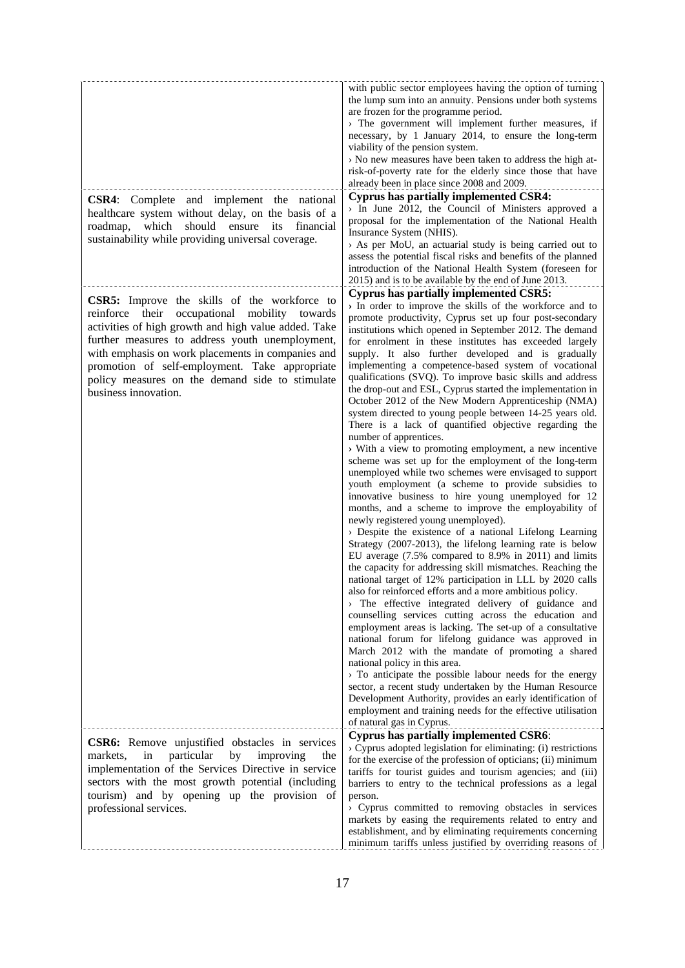| <b>CSR4:</b> Complete and implement the national<br>healthcare system without delay, on the basis of a<br>should<br>which<br>ensure<br>its<br>financial<br>roadmap,<br>sustainability while providing universal coverage.<br><b>CSR5:</b> Improve the skills of the workforce to                                                                 | with public sector employees having the option of turning<br>the lump sum into an annuity. Pensions under both systems<br>are frozen for the programme period.<br>> The government will implement further measures, if<br>necessary, by 1 January 2014, to ensure the long-term<br>viability of the pension system.<br>> No new measures have been taken to address the high at-<br>risk-of-poverty rate for the elderly since those that have<br>already been in place since 2008 and 2009.<br><b>Cyprus has partially implemented CSR4:</b><br>$>$ In June 2012, the Council of Ministers approved a<br>proposal for the implementation of the National Health<br>Insurance System (NHIS).<br>> As per MoU, an actuarial study is being carried out to<br>assess the potential fiscal risks and benefits of the planned<br>introduction of the National Health System (foreseen for<br>2015) and is to be available by the end of June 2013.<br><b>Cyprus has partially implemented CSR5:</b>                                                                                                                                                                                                                                                                                                                                                                                                                                                                                                                                                                                                                                                                                                                                                                                                                                                                                                                                                                                                                                                                                              |
|--------------------------------------------------------------------------------------------------------------------------------------------------------------------------------------------------------------------------------------------------------------------------------------------------------------------------------------------------|----------------------------------------------------------------------------------------------------------------------------------------------------------------------------------------------------------------------------------------------------------------------------------------------------------------------------------------------------------------------------------------------------------------------------------------------------------------------------------------------------------------------------------------------------------------------------------------------------------------------------------------------------------------------------------------------------------------------------------------------------------------------------------------------------------------------------------------------------------------------------------------------------------------------------------------------------------------------------------------------------------------------------------------------------------------------------------------------------------------------------------------------------------------------------------------------------------------------------------------------------------------------------------------------------------------------------------------------------------------------------------------------------------------------------------------------------------------------------------------------------------------------------------------------------------------------------------------------------------------------------------------------------------------------------------------------------------------------------------------------------------------------------------------------------------------------------------------------------------------------------------------------------------------------------------------------------------------------------------------------------------------------------------------------------------------------------------------------|
| reinforce their<br>occupational<br>mobility towards<br>activities of high growth and high value added. Take<br>further measures to address youth unemployment,<br>with emphasis on work placements in companies and<br>promotion of self-employment. Take appropriate<br>policy measures on the demand side to stimulate<br>business innovation. | > In order to improve the skills of the workforce and to<br>promote productivity, Cyprus set up four post-secondary<br>institutions which opened in September 2012. The demand<br>for enrolment in these institutes has exceeded largely<br>supply. It also further developed and is gradually<br>implementing a competence-based system of vocational<br>qualifications (SVQ). To improve basic skills and address<br>the drop-out and ESL, Cyprus started the implementation in<br>October 2012 of the New Modern Apprenticeship (NMA)<br>system directed to young people between 14-25 years old.<br>There is a lack of quantified objective regarding the<br>number of apprentices.<br>> With a view to promoting employment, a new incentive<br>scheme was set up for the employment of the long-term<br>unemployed while two schemes were envisaged to support<br>youth employment (a scheme to provide subsidies to<br>innovative business to hire young unemployed for 12<br>months, and a scheme to improve the employability of<br>newly registered young unemployed).<br>$\rightarrow$ Despite the existence of a national Lifelong Learning<br>Strategy (2007-2013), the lifelong learning rate is below<br>EU average (7.5% compared to 8.9% in 2011) and limits<br>the capacity for addressing skill mismatches. Reaching the<br>national target of 12% participation in LLL by 2020 calls<br>also for reinforced efforts and a more ambitious policy.<br>> The effective integrated delivery of guidance and<br>counselling services cutting across the education and<br>employment areas is lacking. The set-up of a consultative<br>national forum for lifelong guidance was approved in<br>March 2012 with the mandate of promoting a shared<br>national policy in this area.<br>$\rightarrow$ To anticipate the possible labour needs for the energy<br>sector, a recent study undertaken by the Human Resource<br>Development Authority, provides an early identification of<br>employment and training needs for the effective utilisation<br>of natural gas in Cyprus. |
| CSR6: Remove unjustified obstacles in services<br>by<br>particular<br>improving<br>markets,<br>in<br>the<br>implementation of the Services Directive in service<br>sectors with the most growth potential (including<br>tourism) and by opening up the provision of<br>professional services.                                                    | <b>Cyprus has partially implemented CSR6:</b><br>$\rightarrow$ Cyprus adopted legislation for eliminating: (i) restrictions<br>for the exercise of the profession of opticians; (ii) minimum<br>tariffs for tourist guides and tourism agencies; and (iii)<br>barriers to entry to the technical professions as a legal<br>person.<br>$\rightarrow$ Cyprus committed to removing obstacles in services<br>markets by easing the requirements related to entry and<br>establishment, and by eliminating requirements concerning<br>minimum tariffs unless justified by overriding reasons of                                                                                                                                                                                                                                                                                                                                                                                                                                                                                                                                                                                                                                                                                                                                                                                                                                                                                                                                                                                                                                                                                                                                                                                                                                                                                                                                                                                                                                                                                                  |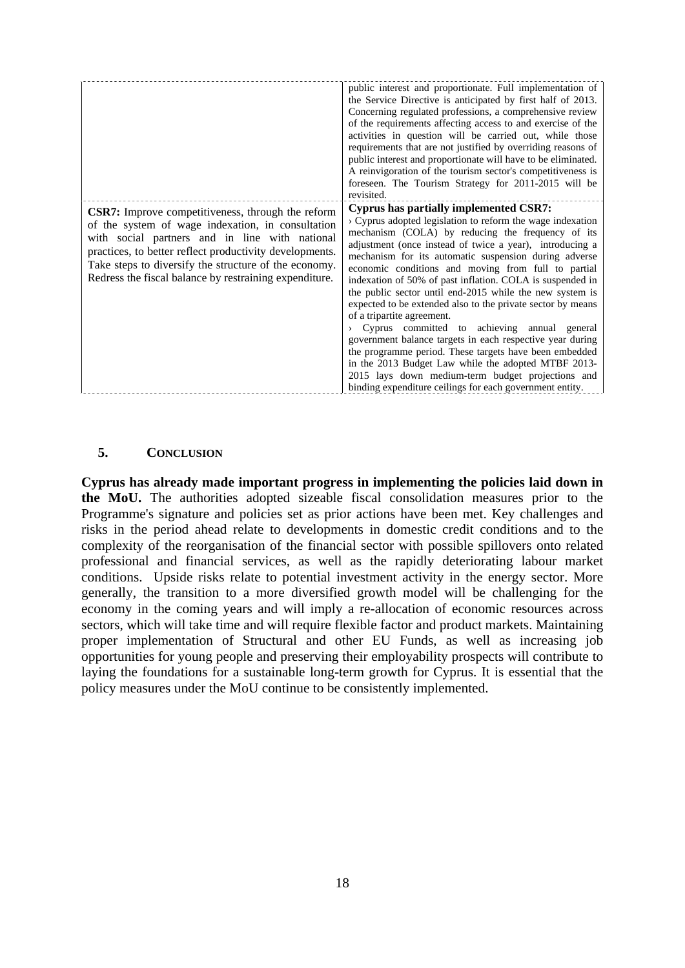|                                                                                                                                                                                                                                                                                                                                               | public interest and proportionate. Full implementation of<br>the Service Directive is anticipated by first half of 2013.<br>Concerning regulated professions, a comprehensive review<br>of the requirements affecting access to and exercise of the<br>activities in question will be carried out, while those<br>requirements that are not justified by overriding reasons of<br>public interest and proportionate will have to be eliminated.<br>A reinvigoration of the tourism sector's competitiveness is<br>foreseen. The Tourism Strategy for 2011-2015 will be<br>revisited.                                                                                                                                                                                                                                                                                                                       |
|-----------------------------------------------------------------------------------------------------------------------------------------------------------------------------------------------------------------------------------------------------------------------------------------------------------------------------------------------|------------------------------------------------------------------------------------------------------------------------------------------------------------------------------------------------------------------------------------------------------------------------------------------------------------------------------------------------------------------------------------------------------------------------------------------------------------------------------------------------------------------------------------------------------------------------------------------------------------------------------------------------------------------------------------------------------------------------------------------------------------------------------------------------------------------------------------------------------------------------------------------------------------|
| <b>CSR7:</b> Improve competitiveness, through the reform<br>of the system of wage indexation, in consultation<br>with social partners and in line with national<br>practices, to better reflect productivity developments.<br>Take steps to diversify the structure of the economy.<br>Redress the fiscal balance by restraining expenditure. | Cyprus has partially implemented CSR7:<br>> Cyprus adopted legislation to reform the wage indexation<br>mechanism (COLA) by reducing the frequency of its<br>adjustment (once instead of twice a year), introducing a<br>mechanism for its automatic suspension during adverse<br>economic conditions and moving from full to partial<br>indexation of 50% of past inflation. COLA is suspended in<br>the public sector until end-2015 while the new system is<br>expected to be extended also to the private sector by means<br>of a tripartite agreement.<br>Cyprus committed to achieving annual general<br>government balance targets in each respective year during<br>the programme period. These targets have been embedded<br>in the 2013 Budget Law while the adopted MTBF 2013-<br>2015 lays down medium-term budget projections and<br>binding expenditure ceilings for each government entity. |

#### **5. CONCLUSION**

<span id="page-17-0"></span>**Cyprus has already made important progress in implementing the policies laid down in the MoU.** The authorities adopted sizeable fiscal consolidation measures prior to the Programme's signature and policies set as prior actions have been met. Key challenges and risks in the period ahead relate to developments in domestic credit conditions and to the complexity of the reorganisation of the financial sector with possible spillovers onto related professional and financial services, as well as the rapidly deteriorating labour market conditions. Upside risks relate to potential investment activity in the energy sector. More generally, the transition to a more diversified growth model will be challenging for the economy in the coming years and will imply a re-allocation of economic resources across sectors, which will take time and will require flexible factor and product markets. Maintaining proper implementation of Structural and other EU Funds, as well as increasing job opportunities for young people and preserving their employability prospects will contribute to laying the foundations for a sustainable long-term growth for Cyprus. It is essential that the policy measures under the MoU continue to be consistently implemented.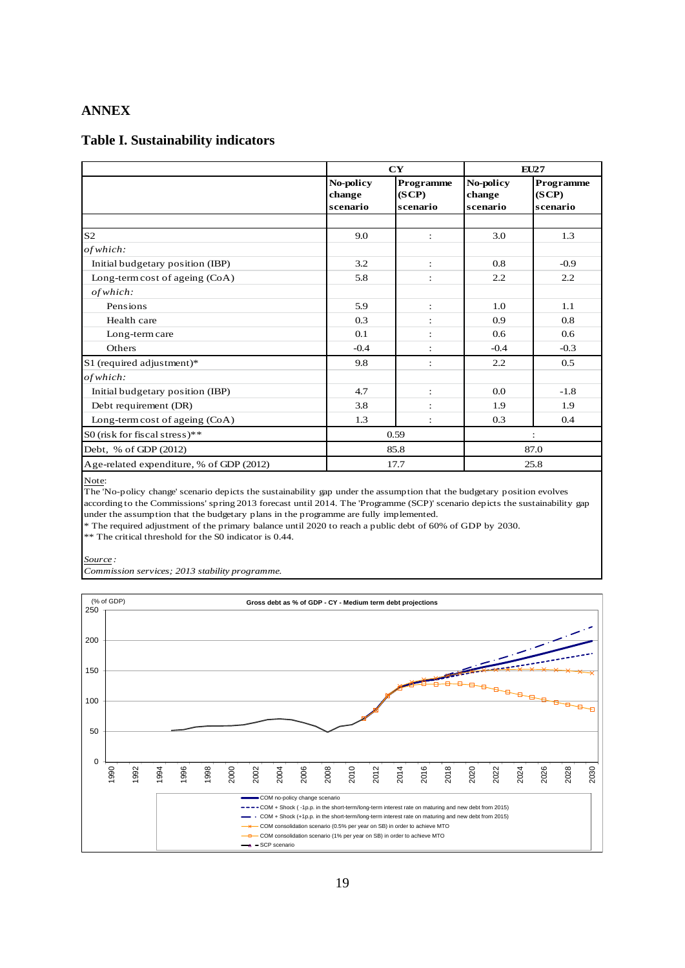#### <span id="page-18-0"></span>**ANNEX**

#### **Table I. Sustainability indicators**

|                                          |                                 | CY                             |                                 | EU27                           |  |  |
|------------------------------------------|---------------------------------|--------------------------------|---------------------------------|--------------------------------|--|--|
|                                          | No-policy<br>change<br>scenario | Programme<br>(SCP)<br>scenario | No-policy<br>change<br>scenario | Programme<br>(SCP)<br>scenario |  |  |
|                                          |                                 |                                |                                 |                                |  |  |
| S <sub>2</sub>                           | 9.0                             | $\ddot{\phantom{a}}$           | 3.0                             | 1.3                            |  |  |
| of which:                                |                                 |                                |                                 |                                |  |  |
| Initial budgetary position (IBP)         | 3.2                             | $\ddot{\phantom{a}}$           | 0.8                             | $-0.9$                         |  |  |
| Long-term cost of ageing (CoA)           | 5.8                             | $\ddot{\cdot}$                 | 2.2                             | 2.2                            |  |  |
| of which.                                |                                 |                                |                                 |                                |  |  |
| Pensions                                 | 5.9                             | :                              | 1.0                             | 1.1                            |  |  |
| Health care                              | 0.3                             | $\ddot{\cdot}$                 | 0.9                             | 0.8                            |  |  |
| Long-term care                           | 0.1                             | $\ddot{\cdot}$                 | 0.6                             | 0.6                            |  |  |
| Others                                   | $-0.4$                          | $\ddot{\cdot}$                 | $-0.4$                          | $-0.3$                         |  |  |
| S1 (required adjustment)*                | 9.8                             | $\ddot{\cdot}$                 | 2.2                             | 0.5                            |  |  |
| of which:                                |                                 |                                |                                 |                                |  |  |
| Initial budgetary position (IBP)         | 4.7                             | $\ddot{\phantom{a}}$           | 0.0                             | $-1.8$                         |  |  |
| Debt requirement (DR)                    | 3.8                             | $\ddot{\cdot}$                 | 1.9                             | 1.9                            |  |  |
| Long-term cost of ageing (CoA)           | 1.3                             | $\ddot{\cdot}$                 | 0.3                             | 0.4                            |  |  |
| S0 (risk for fiscal stress)**            |                                 | 0.59                           |                                 |                                |  |  |
| Debt, % of GDP (2012)                    |                                 | 85.8                           |                                 | 87.0                           |  |  |
| Age-related expenditure, % of GDP (2012) |                                 | 17.7                           |                                 | 25.8                           |  |  |

Note:

The 'No-policy change' scenario depicts the sustainability gap under the assumption that the budgetary position evolves according to the Commissions' spring 2013 forecast until 2014. The 'Programme (SCP)' scenario depicts the sustainability gap under the assumption that the budgetary plans in the programme are fully implemented.

\* The required adjustment of the primary balance until 2020 to reach a public debt of 60% of GDP by 2030.

\*\* The critical threshold for the S0 indicator is 0.44.

*Source :* 

*Commission services; 2013 stability programme.* 

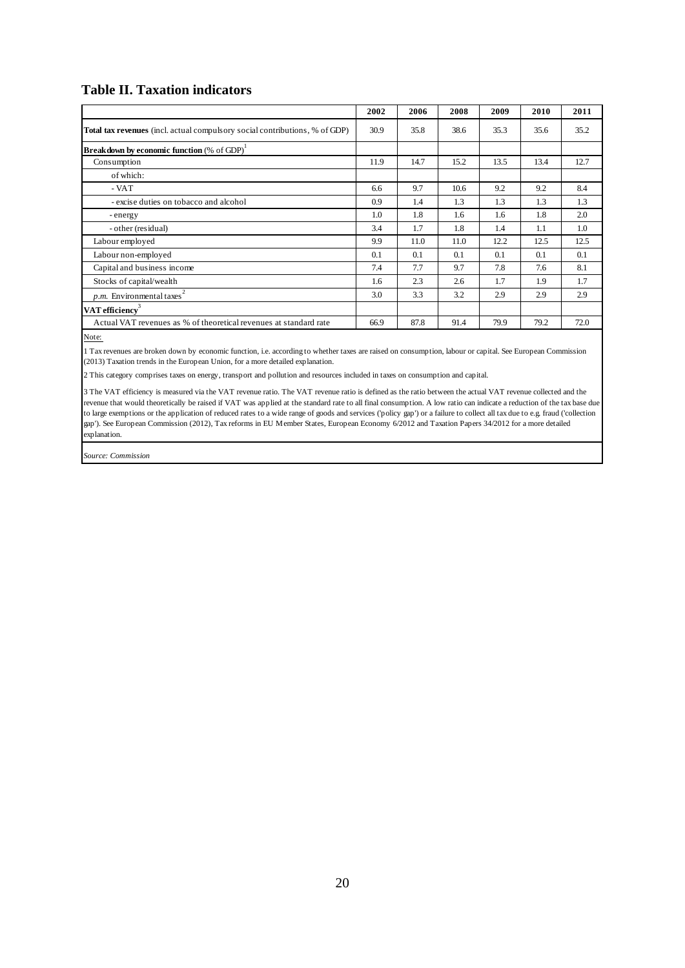### **Table II. Taxation indicators**

|                                                                                    | 2002 | 2006 | 2008 | 2009 | 2010 | 2011 |
|------------------------------------------------------------------------------------|------|------|------|------|------|------|
| <b>Total tax revenues</b> (incl. actual compulsory social contributions, % of GDP) | 30.9 | 35.8 | 38.6 | 35.3 | 35.6 | 35.2 |
| <b>Breakdown by economic function</b> (% of GDP) <sup>1</sup>                      |      |      |      |      |      |      |
| Consumption                                                                        | 11.9 | 14.7 | 15.2 | 13.5 | 13.4 | 12.7 |
| of which:                                                                          |      |      |      |      |      |      |
| - VAT                                                                              | 6.6  | 9.7  | 10.6 | 9.2  | 9.2  | 8.4  |
| - excise duties on tobacco and alcohol                                             | 0.9  | 1.4  | 1.3  | 1.3  | 1.3  | 1.3  |
| - energy                                                                           | 1.0  | 1.8  | 1.6  | 1.6  | 1.8  | 2.0  |
| - other (residual)                                                                 | 3.4  | 1.7  | 1.8  | 1.4  | 1.1  | 1.0  |
| Labour employed                                                                    | 9.9  | 11.0 | 11.0 | 12.2 | 12.5 | 12.5 |
| Labour non-employed                                                                | 0.1  | 0.1  | 0.1  | 0.1  | 0.1  | 0.1  |
| Capital and business income                                                        | 7.4  | 7.7  | 9.7  | 7.8  | 7.6  | 8.1  |
| Stocks of capital/wealth                                                           | 1.6  | 2.3  | 2.6  | 1.7  | 1.9  | 1.7  |
| $p.m.$ Environmental taxes <sup>2</sup>                                            | 3.0  | 3.3  | 3.2  | 2.9  | 2.9  | 2.9  |
| VAT efficiency                                                                     |      |      |      |      |      |      |
| Actual VAT revenues as % of theoretical revenues at standard rate                  | 66.9 | 87.8 | 91.4 | 79.9 | 79.2 | 72.0 |

Note:

1 Tax revenues are broken down by economic function, i.e. according to whether taxes are raised on consumption, labour or capital. See European Commission (2013) Taxation trends in the European Union, for a more detailed explanation.

2 This category comprises taxes on energy, transport and pollution and resources included in taxes on consumption and capital.

3 The VAT efficiency is measured via the VAT revenue ratio. The VAT revenue ratio is defined as the ratio between the actual VAT revenue collected and the revenue that would theoretically be raised if VAT was applied at the standard rate to all final consumption. A low ratio can indicate a reduction of the tax base due to large exemptions or the application of reduced rates to a wide range of goods and services ('policy gap') or a failure to collect all tax due to e.g. fraud ('collection gap'). See European Commission (2012), Tax reforms in EU Member States, European Economy 6/2012 and Taxation Papers 34/2012 for a more detailed explanation.

*Source: Commission*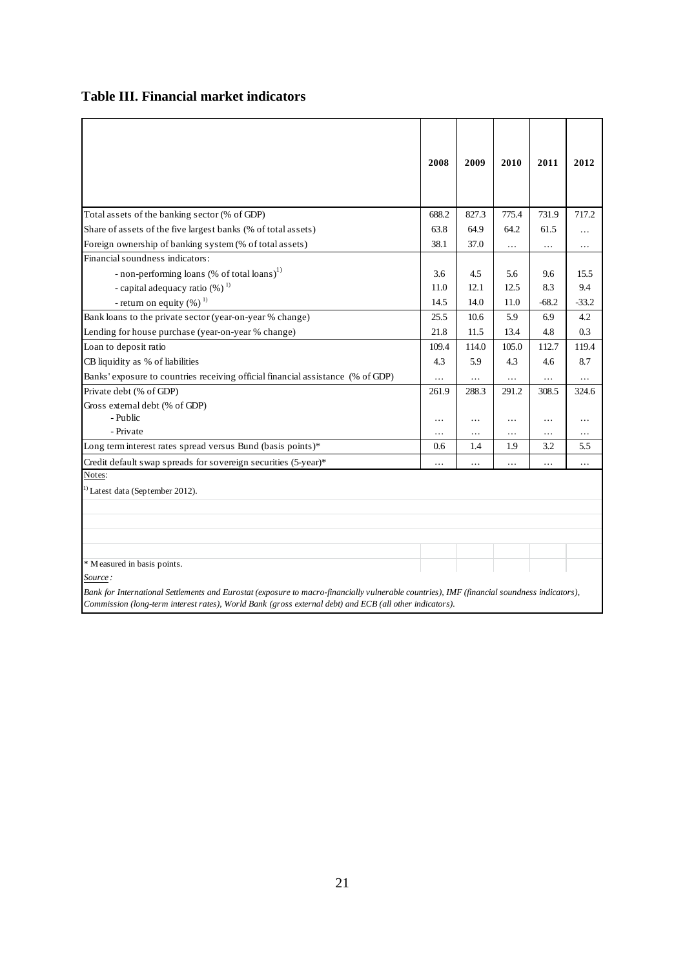### **Table III. Financial market indicators**

|                                                                                                                                             | 2008     | 2009  | 2010      | 2011     | 2012     |
|---------------------------------------------------------------------------------------------------------------------------------------------|----------|-------|-----------|----------|----------|
|                                                                                                                                             |          |       |           |          |          |
|                                                                                                                                             |          |       |           |          |          |
| Total assets of the banking sector (% of GDP)                                                                                               | 688.2    | 827.3 | 775.4     | 731.9    | 717.2    |
| Share of assets of the five largest banks (% of total assets)                                                                               | 63.8     | 64.9  | 64.2      | 61.5     | $\cdots$ |
| Foreign ownership of banking system (% of total assets)                                                                                     | 38.1     | 37.0  | $\cdots$  | $\ldots$ | $\cdots$ |
| Financial soundness indicators:                                                                                                             |          |       |           |          |          |
| - non-performing loans (% of total loans) <sup>1)</sup>                                                                                     | 3.6      | 4.5   | 5.6       | 9.6      | 15.5     |
| - capital adequacy ratio $(\%)$ <sup>1)</sup>                                                                                               | 11.0     | 12.1  | 12.5      | 8.3      | 9.4      |
| - return on equity $(\%)$ <sup>1)</sup>                                                                                                     | 14.5     | 14.0  | 11.0      | $-68.2$  | $-33.2$  |
| Bank loans to the private sector (year-on-year % change)                                                                                    | 25.5     | 10.6  | 5.9       | 6.9      | 4.2      |
| Lending for house purchase (year-on-year % change)                                                                                          | 21.8     | 11.5  | 13.4      | 4.8      | 0.3      |
| Loan to deposit ratio                                                                                                                       | 109.4    | 114.0 | 105.0     | 112.7    | 119.4    |
| CB liquidity as % of liabilities                                                                                                            | 4.3      | 5.9   | 4.3       | 4.6      | 8.7      |
| Banks' exposure to countries receiving official financial assistance (% of GDP)                                                             |          | .     |           | $\cdots$ |          |
| Private debt (% of GDP)                                                                                                                     | 261.9    | 288.3 | 291.2     | 308.5    | 324.6    |
| Gross external debt (% of GDP)                                                                                                              |          |       |           |          |          |
| - Public                                                                                                                                    | .        | .     | $\cdots$  | $\ldots$ | .        |
| - Private                                                                                                                                   | $\ldots$ | .     | .         | $\cdots$ | .        |
| Long term interest rates spread versus Bund (basis points)*                                                                                 | 0.6      | 1.4   | 1.9       | 3.2      | 5.5      |
| Credit default swap spreads for sovereign securities (5-year)*                                                                              |          | .     | $\ddotsc$ | $\cdot$  | .        |
| Notes:                                                                                                                                      |          |       |           |          |          |
| <sup>1)</sup> Latest data (September 2012).                                                                                                 |          |       |           |          |          |
|                                                                                                                                             |          |       |           |          |          |
|                                                                                                                                             |          |       |           |          |          |
|                                                                                                                                             |          |       |           |          |          |
|                                                                                                                                             |          |       |           |          |          |
| * Measured in basis points.                                                                                                                 |          |       |           |          |          |
| Source :                                                                                                                                    |          |       |           |          |          |
| Bank for International Settlements and Eurostat (exposure to macro-financially vulnerable countries), IMF (financial soundness indicators), |          |       |           |          |          |
| Commission (long-term interest rates), World Bank (gross external debt) and ECB (all other indicators).                                     |          |       |           |          |          |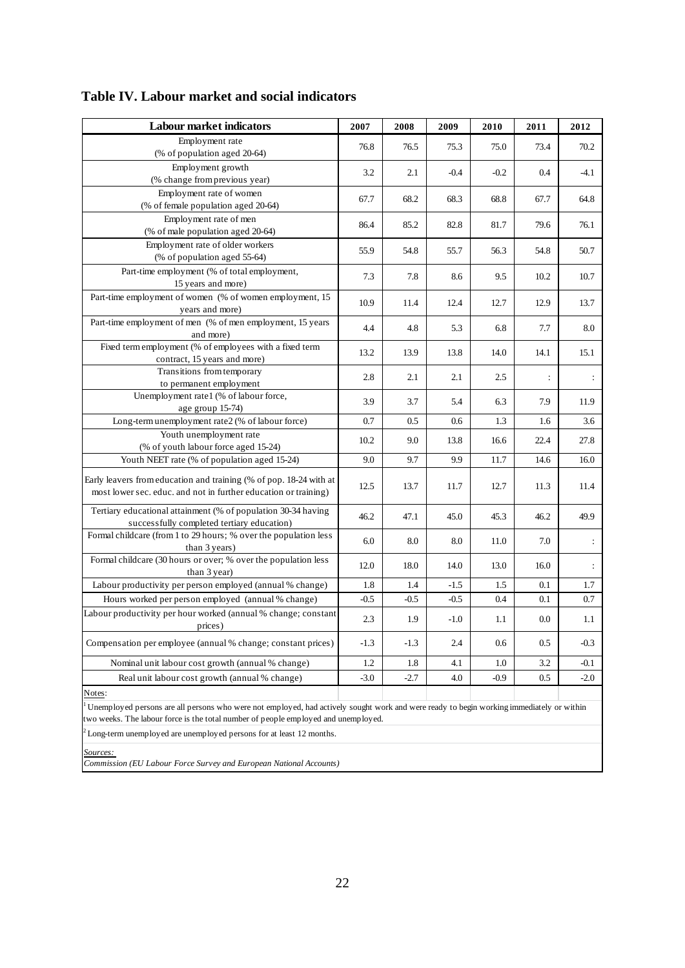| <b>Labour market indicators</b>                                                                                                                                                                                                | 2007   | 2008   | 2009   | 2010   | 2011           | 2012                 |  |
|--------------------------------------------------------------------------------------------------------------------------------------------------------------------------------------------------------------------------------|--------|--------|--------|--------|----------------|----------------------|--|
| Employment rate                                                                                                                                                                                                                | 76.8   | 76.5   | 75.3   | 75.0   | 73.4           | 70.2                 |  |
| (% of population aged 20-64)                                                                                                                                                                                                   |        |        |        |        |                |                      |  |
| Employment growth                                                                                                                                                                                                              | 3.2    | 2.1    | $-0.4$ | $-0.2$ | 0.4            | $-4.1$               |  |
| (% change from previous year)                                                                                                                                                                                                  |        |        |        |        |                |                      |  |
| Employment rate of women<br>(% of female population aged 20-64)                                                                                                                                                                | 67.7   | 68.2   | 68.3   | 68.8   | 67.7           | 64.8                 |  |
| Employment rate of men                                                                                                                                                                                                         |        |        |        |        |                |                      |  |
| (% of male population aged 20-64)                                                                                                                                                                                              | 86.4   | 85.2   | 82.8   | 81.7   | 79.6           | 76.1                 |  |
| Employment rate of older workers                                                                                                                                                                                               |        |        |        |        |                |                      |  |
| (% of population aged 55-64)                                                                                                                                                                                                   | 55.9   | 54.8   | 55.7   | 56.3   | 54.8           | 50.7                 |  |
| Part-time employment (% of total employment,                                                                                                                                                                                   |        |        |        |        |                |                      |  |
| 15 years and more)                                                                                                                                                                                                             | 7.3    | 7.8    | 8.6    | 9.5    | 10.2           | 10.7                 |  |
| Part-time employment of women (% of women employment, 15                                                                                                                                                                       | 10.9   | 11.4   | 12.4   | 12.7   | 12.9           | 13.7                 |  |
| years and more)                                                                                                                                                                                                                |        |        |        |        |                |                      |  |
| Part-time employment of men (% of men employment, 15 years                                                                                                                                                                     | 4.4    | 4.8    | 5.3    | 6.8    | 7.7            | 8.0                  |  |
| and more)                                                                                                                                                                                                                      |        |        |        |        |                |                      |  |
| Fixed term employment (% of employees with a fixed term                                                                                                                                                                        | 13.2   | 13.9   | 13.8   | 14.0   | 14.1           | 15.1                 |  |
| contract, 15 years and more)<br>Transitions from temporary                                                                                                                                                                     |        |        |        |        |                |                      |  |
| to permanent employment                                                                                                                                                                                                        | 2.8    | 2.1    | 2.1    | 2.5    | $\ddot{\cdot}$ | ÷                    |  |
| Unemployment rate1 (% of labour force,                                                                                                                                                                                         |        |        |        |        |                |                      |  |
| age group 15-74)                                                                                                                                                                                                               | 3.9    | 3.7    | 5.4    | 6.3    | 7.9            | 11.9                 |  |
| Long-term unemployment rate2 (% of labour force)                                                                                                                                                                               | 0.7    | 0.5    | 0.6    | 1.3    | 1.6            | 3.6                  |  |
| Youth unemployment rate                                                                                                                                                                                                        |        | 9.0    |        |        |                | 27.8                 |  |
| (% of youth labour force aged 15-24)                                                                                                                                                                                           | 10.2   |        | 13.8   | 16.6   | 22.4           |                      |  |
| Youth NEET rate (% of population aged 15-24)                                                                                                                                                                                   | 9.0    | 9.7    | 9.9    | 11.7   | 14.6           | 16.0                 |  |
| Early leavers from education and training (% of pop. 18-24 with at                                                                                                                                                             |        |        |        |        |                |                      |  |
| most lower sec. educ. and not in further education or training)                                                                                                                                                                | 12.5   | 13.7   | 11.7   | 12.7   | 11.3           | 11.4                 |  |
| Tertiary educational attainment (% of population 30-34 having                                                                                                                                                                  | 46.2   | 47.1   | 45.0   | 45.3   | 46.2           | 49.9                 |  |
| successfully completed tertiary education)                                                                                                                                                                                     |        |        |        |        |                |                      |  |
| Formal childcare (from 1 to 29 hours; % over the population less                                                                                                                                                               | 6.0    | 8.0    | 8.0    | 11.0   | 7.0            | $\ddot{\phantom{a}}$ |  |
| than 3 years)                                                                                                                                                                                                                  |        |        |        |        |                |                      |  |
| Formal childcare (30 hours or over; % over the population less<br>than 3 year)                                                                                                                                                 | 12.0   | 18.0   | 14.0   | 13.0   | 16.0           | $\ddot{\cdot}$       |  |
| Labour productivity per person employed (annual % change)                                                                                                                                                                      | 1.8    | 1.4    | $-1.5$ | 1.5    | 0.1            | 1.7                  |  |
| Hours worked per person employed (annual % change)                                                                                                                                                                             | $-0.5$ | $-0.5$ | $-0.5$ | 0.4    | 0.1            | 0.7                  |  |
| Labour productivity per hour worked (annual % change; constant                                                                                                                                                                 |        |        |        |        |                |                      |  |
| prices)                                                                                                                                                                                                                        | 2.3    | 1.9    | $-1.0$ | 1.1    | 0.0            | 1.1                  |  |
|                                                                                                                                                                                                                                |        |        |        |        |                |                      |  |
| Compensation per employee (annual % change; constant prices)                                                                                                                                                                   | $-1.3$ | $-1.3$ | 2.4    | 0.6    | 0.5            | $-0.3$               |  |
| Nominal unit labour cost growth (annual % change)                                                                                                                                                                              | 1.2    | 1.8    | 4.1    | 1.0    | 3.2            | $-0.1$               |  |
| Real unit labour cost growth (annual % change)                                                                                                                                                                                 | $-3.0$ | $-2.7$ | 4.0    | $-0.9$ | 0.5            | $-2.0$               |  |
| Notes:                                                                                                                                                                                                                         |        |        |        |        |                |                      |  |
| Unemployed persons are all persons who were not employed, had actively sought work and were ready to begin working immediately or within<br>two weeks. The labour force is the total number of people employed and unemployed. |        |        |        |        |                |                      |  |
| $2^2$ Long-term unemployed are unemployed persons for at least 12 months.                                                                                                                                                      |        |        |        |        |                |                      |  |
|                                                                                                                                                                                                                                |        |        |        |        |                |                      |  |
| Sources:                                                                                                                                                                                                                       |        |        |        |        |                |                      |  |
| Commission (EU Labour Force Survey and European National Accounts)                                                                                                                                                             |        |        |        |        |                |                      |  |

### **Table IV. Labour market and social indicators**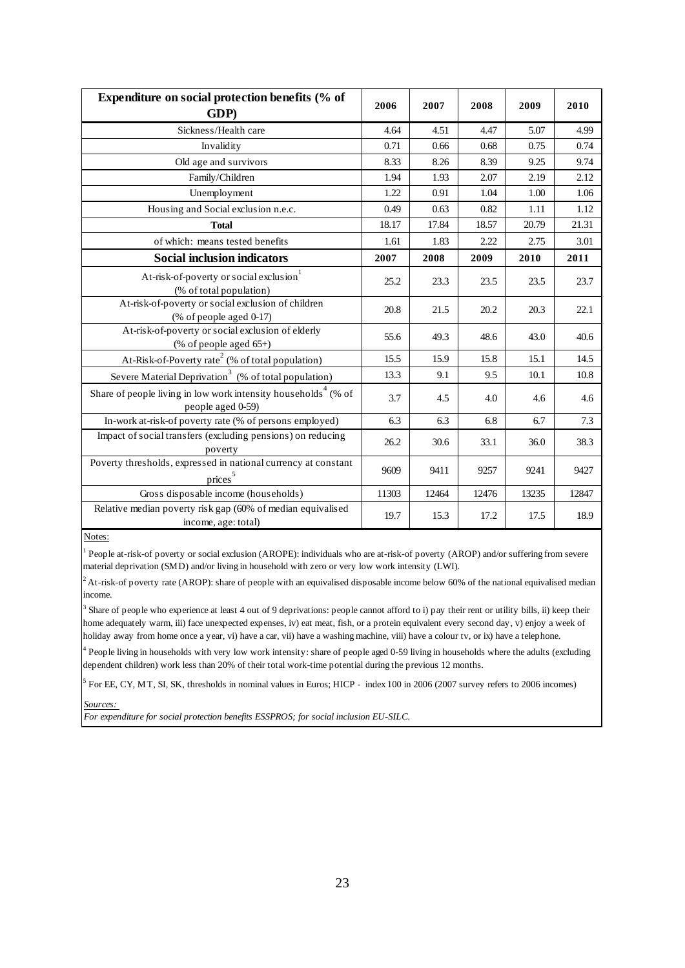| Expenditure on social protection benefits (% of<br>GDP)                                         | 2006  | 2007  | 2008  | 2009  | 2010  |
|-------------------------------------------------------------------------------------------------|-------|-------|-------|-------|-------|
| Sickness/Health care                                                                            | 4.64  | 4.51  | 4.47  | 5.07  | 4.99  |
| Invalidity                                                                                      | 0.71  | 0.66  | 0.68  | 0.75  | 0.74  |
| Old age and survivors                                                                           | 8.33  | 8.26  | 8.39  | 9.25  | 9.74  |
| Family/Children                                                                                 | 1.94  | 1.93  | 2.07  | 2.19  | 2.12  |
| Unemployment                                                                                    | 1.22  | 0.91  | 1.04  | 1.00  | 1.06  |
| Housing and Social exclusion n.e.c.                                                             | 0.49  | 0.63  | 0.82  | 1.11  | 1.12  |
| <b>Total</b>                                                                                    | 18.17 | 17.84 | 18.57 | 20.79 | 21.31 |
| of which: means tested benefits                                                                 | 1.61  | 1.83  | 2.22  | 2.75  | 3.01  |
| <b>Social inclusion indicators</b>                                                              | 2007  | 2008  | 2009  | 2010  | 2011  |
| At-risk-of-poverty or social exclusion <sup>1</sup><br>(% of total population)                  | 25.2  | 23.3  | 23.5  | 23.5  | 23.7  |
| At-risk-of-poverty or social exclusion of children<br>$(% \theta)$ of people aged 0-17)         | 20.8  | 21.5  | 20.2  | 20.3  | 22.1  |
| At-risk-of-poverty or social exclusion of elderly<br>(% of people aged $65+$ )                  | 55.6  | 49.3  | 48.6  | 43.0  | 40.6  |
| At-Risk-of-Poverty rate <sup>2</sup> (% of total population)                                    | 15.5  | 15.9  | 15.8  | 15.1  | 14.5  |
| Severe Material Deprivation <sup>3</sup> (% of total population)                                | 13.3  | 9.1   | 9.5   | 10.1  | 10.8  |
| Share of people living in low work intensity households <sup>4</sup> (% of<br>people aged 0-59) | 3.7   | 4.5   | 4.0   | 4.6   | 4.6   |
| In-work at-risk-of poverty rate (% of persons employed)                                         | 6.3   | 6.3   | 6.8   | 6.7   | 7.3   |
| Impact of social transfers (excluding pensions) on reducing<br>poverty                          | 26.2  | 30.6  | 33.1  | 36.0  | 38.3  |
| Poverty thresholds, expressed in national currency at constant<br>$\overline{\text{prices}}^5$  | 9609  | 9411  | 9257  | 9241  | 9427  |
| Gross disposable income (households)                                                            | 11303 | 12464 | 12476 | 13235 | 12847 |
| Relative median poverty risk gap (60% of median equivalised<br>income, age: total)              | 19.7  | 15.3  | 17.2  | 17.5  | 18.9  |

Notes:

1 People at-risk-of poverty or social exclusion (AROPE): individuals who are at-risk-of poverty (AROP) and/or suffering from severe material deprivation (SMD) and/or living in household with zero or very low work intensity (LWI).

 ${}^{2}$  At-risk-of poverty rate (AROP): share of people with an equivalised disposable income below 60% of the national equivalised median income.

<sup>3</sup> Share of people who experience at least 4 out of 9 deprivations: people cannot afford to i) pay their rent or utility bills, ii) keep their home adequately warm, iii) face unexpected expenses, iv) eat meat, fish, or a protein equivalent every second day, v) enjoy a week of holiday away from home once a year, vi) have a car, vii) have a washing machine, viii) have a colour tv, or ix) have a telephone.

<sup>4</sup> People living in households with very low work intensity: share of people aged 0-59 living in households where the adults (excluding dependent children) work less than 20% of their total work-time potential during the previous 12 months.

 $<sup>5</sup>$  For EE, CY, MT, SI, SK, thresholds in nominal values in Euros; HICP - index 100 in 2006 (2007 survey refers to 2006 incomes)</sup>

*Sources:* 

*For expenditure for social protection benefits ESSPROS; for social inclusion EU-SILC.*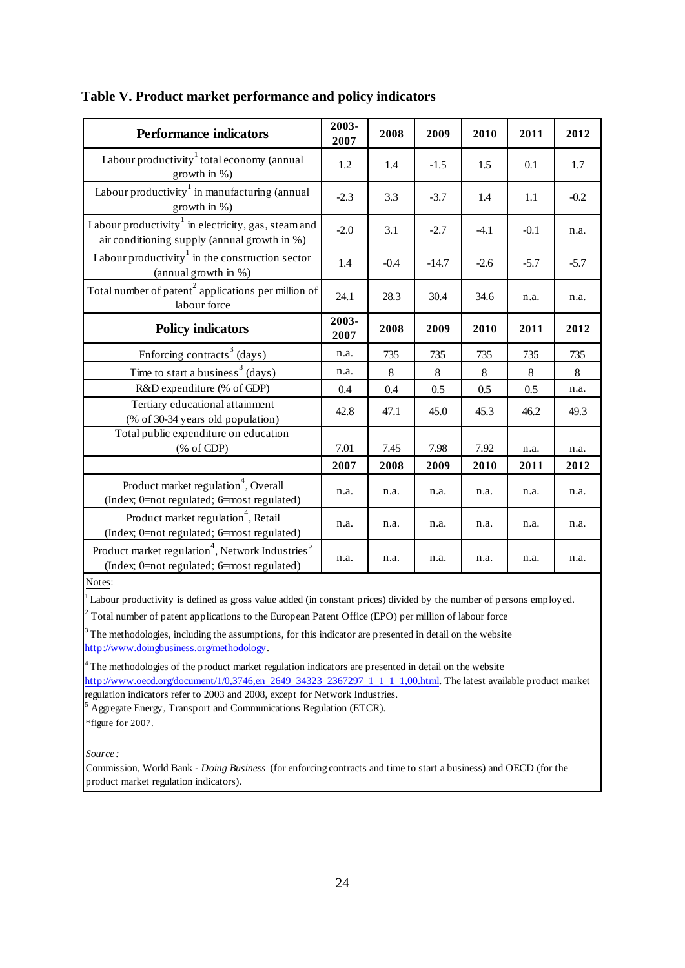| <b>Performance indicators</b>                                                                                                                                                                                                            | 2003-<br>2007 | 2008   | 2009    | 2010   | 2011   | 2012   |  |  |  |  |
|------------------------------------------------------------------------------------------------------------------------------------------------------------------------------------------------------------------------------------------|---------------|--------|---------|--------|--------|--------|--|--|--|--|
| Labour productivity $\frac{1}{1}$ total economy (annual<br>growth in %)                                                                                                                                                                  | 1.2           | 1.4    | $-1.5$  | 1.5    | 0.1    | 1.7    |  |  |  |  |
| Labour productivity in manufacturing (annual<br>growth in %)                                                                                                                                                                             | $-2.3$        | 3.3    | $-3.7$  | 1.4    | 1.1    | $-0.2$ |  |  |  |  |
| Labour productivity in electricity, gas, steam and<br>air conditioning supply (annual growth in %)                                                                                                                                       | $-2.0$        | 3.1    | $-2.7$  | $-4.1$ | $-0.1$ | n.a.   |  |  |  |  |
| Labour productivity in the construction sector<br>(annual growth in %)                                                                                                                                                                   | 1.4           | $-0.4$ | $-14.7$ | $-2.6$ | $-5.7$ | $-5.7$ |  |  |  |  |
| Total number of patent <sup>2</sup> applications per million of<br>labour force                                                                                                                                                          | 24.1          | 28.3   | 30.4    | 34.6   | n.a.   | n.a.   |  |  |  |  |
| <b>Policy indicators</b>                                                                                                                                                                                                                 | 2003-<br>2007 | 2008   | 2009    | 2010   | 2011   | 2012   |  |  |  |  |
| Enforcing contracts <sup>3</sup> (days)                                                                                                                                                                                                  | n.a.          | 735    | 735     | 735    | 735    | 735    |  |  |  |  |
| Time to start a business <sup>3</sup> (days)                                                                                                                                                                                             | n.a.          | 8      | $8\,$   | 8      | 8      | 8      |  |  |  |  |
| R&D expenditure (% of GDP)                                                                                                                                                                                                               | 0.4           | 0.4    | 0.5     | 0.5    | 0.5    | n.a.   |  |  |  |  |
| Tertiary educational attainment<br>(% of 30-34 years old population)                                                                                                                                                                     | 42.8          | 47.1   | 45.0    | 45.3   | 46.2   | 49.3   |  |  |  |  |
| Total public expenditure on education<br>$(% \mathcal{L}_{0} \cap \mathcal{L}_{1})$ (% of GDP)                                                                                                                                           | 7.01          | 7.45   | 7.98    | 7.92   | n.a.   | n.a.   |  |  |  |  |
|                                                                                                                                                                                                                                          | 2007          | 2008   | 2009    | 2010   | 2011   | 2012   |  |  |  |  |
| Product market regulation <sup>4</sup> , Overall<br>(Index; 0=not regulated; 6=most regulated)                                                                                                                                           | n.a.          | n.a.   | n.a.    | n.a.   | n.a.   | n.a.   |  |  |  |  |
| Product market regulation <sup>4</sup> , Retail<br>(Index; 0=not regulated; 6=most regulated)                                                                                                                                            | n.a.          | n.a.   | n.a.    | n.a.   | n.a.   | n.a.   |  |  |  |  |
| Product market regulation <sup>4</sup> , Network Industries <sup>5</sup><br>(Index; 0=not regulated; 6=most regulated)                                                                                                                   | n.a.          | n.a.   | n.a.    | n.a.   | n.a.   | n.a.   |  |  |  |  |
| Notes:<br>Labour productivity is defined as gross value added (in constant prices) divided by the number of persons employed.<br>$2$ Total number of patent applications to the European Patent Office (EPO) per million of labour force |               |        |         |        |        |        |  |  |  |  |

#### **Table V. Product market performance and policy indicators**

<sup>3</sup> The methodologies, including the assumptions, for this indicator are presented in detail on the website http://www.doingbusiness.org/methodology.

<sup>4</sup>The methodologies of the product market regulation indicators are presented in detail on the website

http://www.oecd.org/document/1/0,3746,en\_2649\_34323\_2367297\_1\_1\_1\_1,00.html. The latest available product market regulation indicators refer to 2003 and 2008, except for Network Industries.

<sup>5</sup> Aggregate Energy, Transport and Communications Regulation (ETCR).

\*figure for 2007.

*Source :*

Commission, World Bank - *Doing Business* (for enforcing contracts and time to start a business) and OECD (for the product market regulation indicators).